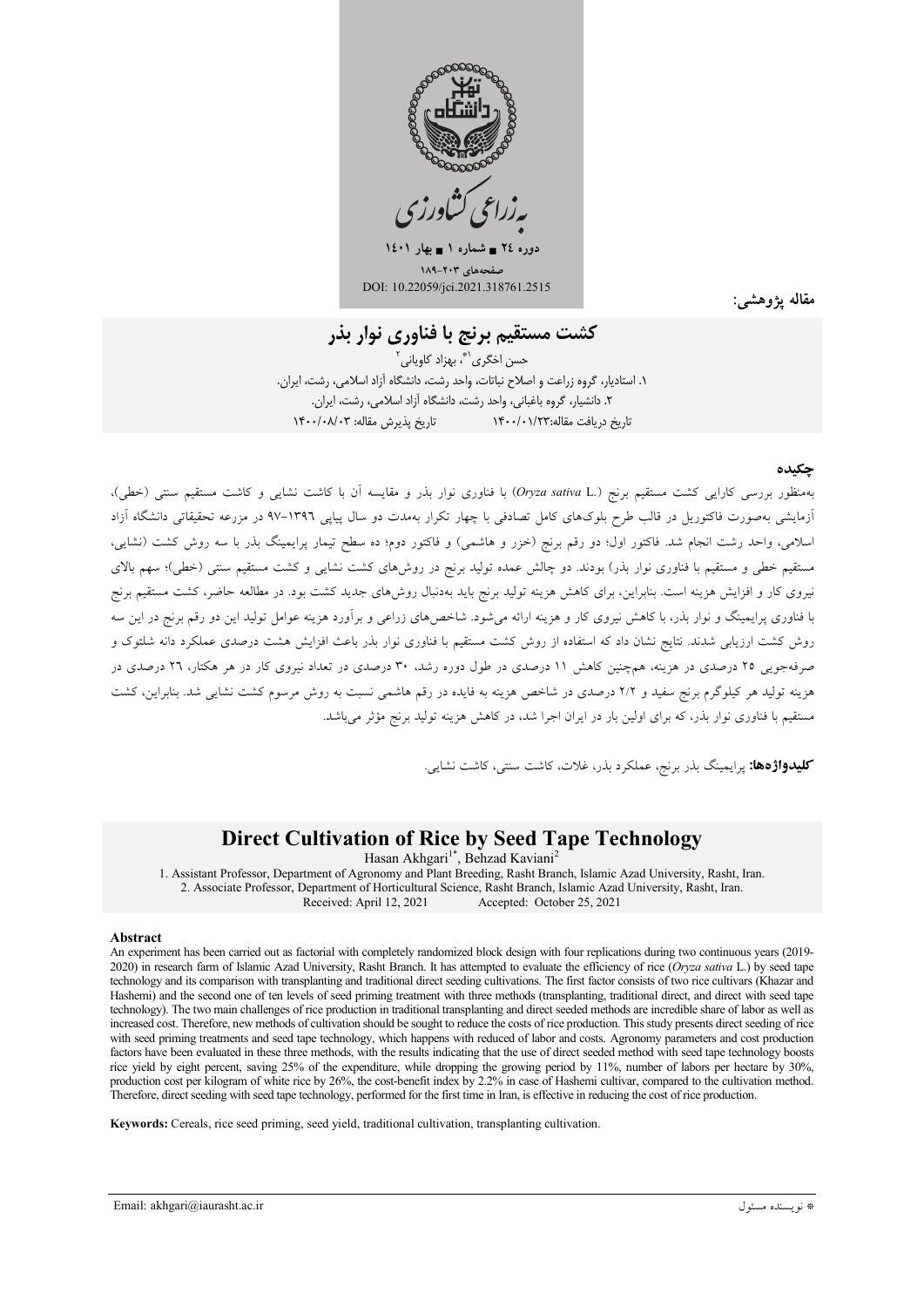

 $12 \cdot 1$  دوره ۲٤ = شماره ۱ = بهار ۱٤۰۱ غحههای ۲۰۳-۱۸۹

DOI: 10.22059/jci.2021.318761.2515

مقاله يژوهشم

کشت مستقیم برنج با فناوری نوار بذر

حسن اخگری<sup>\\*</sup>، بھزاد کاویانی<sup>۲</sup> ۱. استادیار، گروه زراعت و اصلاح نباتات، واحد رشت، دانشگاه آزاد اسلامی، رشت، ایران. ۲. دانشیار، گروه باغبانی، واحد رشت، دانشگاه آزاد اسلامی، رشت، ایران. تاريخ دريافت مقاله:١۴٠٠/٠١/٢٣

#### حكىدە

بهمنظور بررسی کارایی کشت مستقیم برنج (Oryza sativa L.) با فناوری نوار بذر و مقایسه آن با کاشت نشای<sub>ه،</sub> و کاشت مستقیم سنتم (خط<sub>،</sub>)، .<br>آزمایشی بهصورت فاکتوریل در قالب طرح بلوکهای کامل تصادفی با چهار تکرار بهمدت دو سال پیاپی ۱۳۹٦–۹۷ در مزرعه تحقیقاتی دانشگاه آزاد اسلامی، واحد رشت انجام شد. فاکتور اول؛ دو رقم برنج (خزر و هاشمی) و فاکتور دوم؛ ده سطح تیمار پرایمینگ بذر با سه روش کشت (نشایی، مستقیم خطی و مستقیم با فناوری نوار بذر) بودند. دو چالش عمده تولید برنج در روشهای کشت نشایی و کشت مستقیم سنتی (خطی)؛ سهم بالای نیروی کار و افزایش هزینه است. بنابراین، برای کاهش هزینه تولید برنج باید بهدنبال روشهای جدید کشت بود. در مطالعه حاضر، کشت مستقیم برنج با فناوری پرایمینگ و نوار بذر، با کاهش نیروی کار و هزینه ارائه می شود. شاخصهای زراعی و برآورد هزینه عوامل تولید این دو رقم برنج در این سه روش کشت ارزیابی شدند. نتایج نشان داد که استفاده از روش کشت مستقیم با فناوری نوار بذر باعث افزایش هشت درصدی عملکرد دانه شلتوک و صرفهجویی ۲۵ درصدی در هزینه، همچنین کاهش ۱۱ درصدی در طول دوره رشد، ۳۰ درصدی در تعداد نیروی کار در هر هکتار، ۲۲ درصدی در هزینه تولید هر کیلوگرم برنج سفید و ۲/۲ درصدی در شاخص هزینه به فایده در رقم هاشمی نسبت به روش مرسوم کشت نشایی شد. بنابراین، کشت مستقیم با فناوری نوار بذر، که برای اولین بار در ایران اجرا شد، در کاهش هزینه تولید برنج مؤثر میباشد.

**کلیدواژهها:** پرایمینگ بذر برنج، عملکرد بذر، غلات، کاشت سنتی، کاشت نشایی.

## **Direct Cultivation of Rice by Seed Tape Technology**

Hasan Akhgari<sup>1\*</sup>, Behzad Kaviani<sup>2</sup> 1. Assistant Professor, Department of Agronomy and Plant Breeding, Rasht Branch, Islamic Azad University, Rasht, Iran. 2. Associate Professor, Department of Horticultural Science, Rasht Branch, Islamic Azad University, Rasht, Iran. Received: April 12, 2021 Accepted: October 25, 2021

#### Abstract

An experiment has been carried out as factorial with completely randomized block design with four replications during two continuous years (2019-2020) in research farm of Islamic Azad University, Rasht Branch. It has attempted to evaluate the efficiency of rice (Oryza sativa L.) by seed tape technology and its comparison with transplanting and traditional direct seeding cultivations. The first factor consists of two rice cultivars (Khazar and Hashemi) and the second one of ten levels of seed priming treatment with three methods (transplanting, traditional direct, and direct with seed tape technology). The two main challenges of rice production in traditional transplanting and direct seeded methods are incredible share of labor as well as increased cost. Therefore, new methods of cultivation should be sought to reduce the costs of rice production. This study presents direct seeding of rice with seed priming treatments and seed tape technology, which happens with reduced of labor and costs. Agronomy parameters and cost production factors have been evaluated in these three methods, with the results indicating that the use of direct seeded method with seed tape technology boosts rice yield by eight percent, saving 25% of the expenditure, while dropping the growing period by 11%, number of labors per hectare by 30%, production cost per kilogram of white rice by 26%, the cost-benefit index by 2.2% in case of Hashemi cultivar, compared to the cultivation method. Therefore, direct seeding with seed tape technology, performed for the first time in Iran, is effective in reducing the cost of rice production.

Keywords: Cereals, rice seed priming, seed yield, traditional cultivation, transplanting cultivation.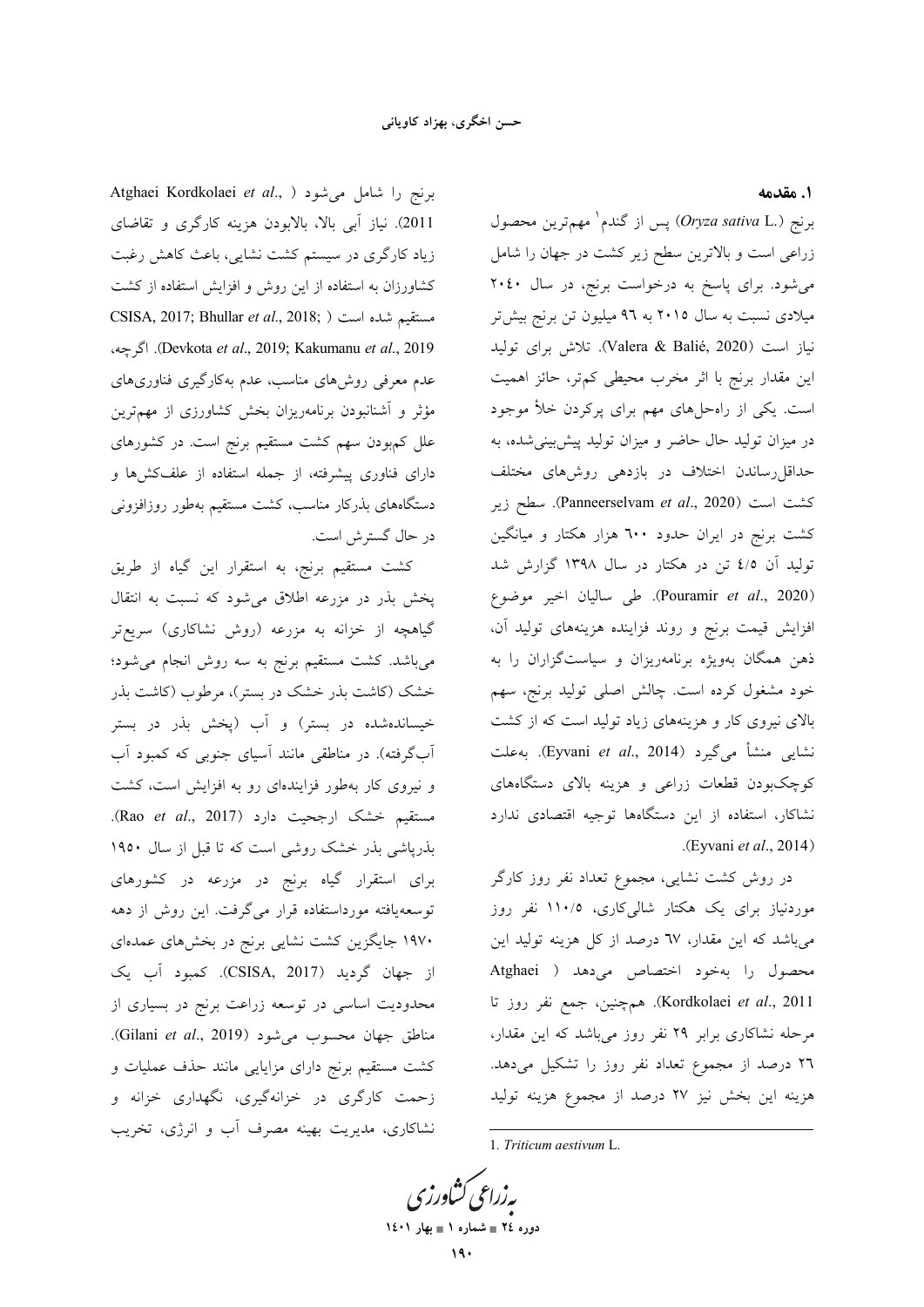Atghaei Kordkolaei et al., ) برنج را شامل میشود 2011). نياز آبي بالا، بالابودن هزينه كارگري و تقاضاي زیاد کارگری در سیستم کشت نشایی، باعث کاهش رغبت کشاورزان به استفاده از این روش و افزایش استفاده از کشت CSISA, 2017; Bhullar et al., 2018; ) مستقيم شده است ( Devkota et al., 2019; Kakumanu et al., 2019). اگرچه، عدم معرفی روشهای مناسب، عدم بهکارگیری فناوریهای مؤثر و آشنانبودن برنامهریزان بخش کشاورزی از مهمترین علل کمبودن سهم کشت مستقیم برنج است. در کشورهای دارای فناوری پیشرفته، از جمله استفاده از علفکشها و دستگاههای بذرکار مناسب، کشت مستقیم بهطور روزافزونی در حال گستر ش است.

کشت مستقیم برنج، به استقرار این گیاه از طریق پخش بذر در مزرعه اطلاق می شود که نسبت به انتقال گیاهچه از خزانه به مزرعه (روش نشاکاری) سریعتر میباشد. کشت مستقیم برنج به سه روش انجام میشود؛ .<br>خشک (کاشت بذر خشک در بستر)، مرطوب (کاشت بذر خیساندهشده در بستر) و آب (پخش بذر در بستر أبگرفته). در مناطقی مانند آسیای جنوبی که کمبود آب و نیروی کار بهطور فزایندهای رو به افزایش است، کشت .(Rao et al., 2017) ارجحیت دارد. بذرپاشی بذر خشک روشی است که تا قبل از سال ۱۹۵۰ برای استقرار گیاه برنج در مزرعه در کشورهای توسعهیافته مورداستفاده قرار میگرفت. این روش از دهه ۱۹۷۰ جایگزین کشت نشایی برنج در بخشهای عمدهای از جهان گرديد (CSISA, 2017). كمبود آب يك محدودیت اساسی در توسعه زراعت برنج در بسیاری از مناطق جهان محسوب میشود (Gilani et al., 2019). کشت مستقیم برنج دارای مزایایی مانند حذف عملیات و زحمت کارگری در خزانهگیری، نگهداری خزانه و نشاکاری، مدیریت بهینه مصرف آب و انرژی، تخریب ١. مقدمه

برنج (.Oryza sativa L) پس از گندم<sup>ا</sup> مهمترین محصول زراعی است و بالاترین سطح زیر کشت در جهان را شامل می شود. برای پاسخ به درخواست برنج، در سال ۲۰٤۰ میلادی نسبت به سال ۲۰۱۵ به ۹٦ میلیون تن برنج بیش تر نياز است (Valera & Balié, 2020). تلاش براي توليد این مقدار برنج با اثر مخرب محیطی کم تر، حائز اهمیت است. یکی از راهحلهای مهم برای پرکردن خلأ موجود در میزان تولید حال حاضر و میزان تولید پیش بینی شده، به حداقل رساندن اختلاف در بازدهی روش های مختلف كشت است (Panneerselvam et al., 2020). سطح زير کشت برنج در ایران حدود ٦٠٠ هزار هکتار و میانگین تولید آن ٤/٥ تن در هکتار در سال ١٣٩٨ گزارش شد (Pouramir et al., 2020). طي ساليان اخير موضوع افزایش قیمت برنج و روند فزاینده هزینههای تولید آن، ذهن همگان بهویژه برنامهریزان و سیاستگزاران را به خود مشغول کرده است. چالش اصلی تولید برنج، سهم بالای نیروی کار و هزینههای زیاد تولید است که از کشت نشايي منشأ ميگيرد (Eyvani *et al*., 2014). به علت کوچکبودن قطعات زراعی و هزینه بالای دستگاههای نشاكار، استفاده از اين دستگاهها توجيه اقتصادى ندارد .(Eyvani et al., 2014)

در روش کشت نشایی، مجموع تعداد نفر روز کارگر موردنیاز برای یک هکتار شالی کاری، ۱۱۰/۵ نفر روز میباشد که این مقدار، ٦٧ درصد از کل هزینه تولید این محصول را بهخود اختصاص مى دهد ( Atghaei Kordkolaei et al., 2011). همچنین، جمع نفر روز تا مرحله نشاکاری برابر ۲۹ نفر روز میباشد که این مقدار، ۲٦ درصد از مجموع تعداد نفر روز را تشکیل میدهد. هزینه این بخش نیز ۲۷ درصد از مجموع هزینه تولید

یه زراعی کشاورزی دوره ٢٤ = شماره ١ = بهار ١٤٠١

<sup>1.</sup> Triticum aestivum L.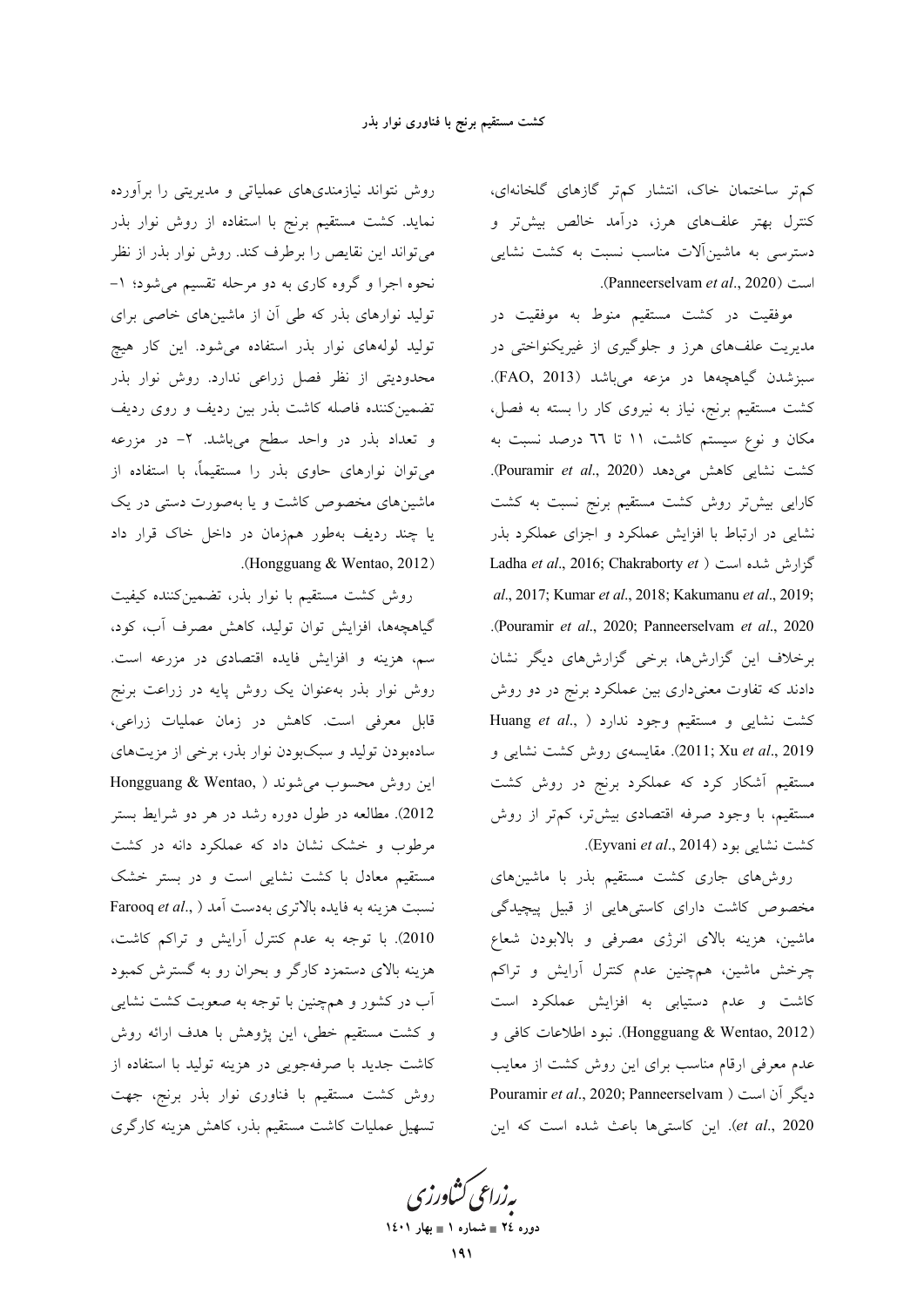کم تر ساختمان خاک، انتشار کمتر گازهای گلخانهای، کنترل بهتر علفهای هرز، درآمد خالص بیشتر و دسترسی به ماشین آلات مناسب نسبت به کشت نشایی .(Panneerselvam et al., 2020).

موفقیت در کشت مستقیم منوط به موفقیت در مدیریت علفهای هرز و جلوگیری از غیریکنواختی در سبزشدن گیاهچهها در مزعه میباشد (FAO, 2013). کشت مستقیم برنج، نیاز به نیروی کار را بسته به فصل، مکان و نوع سیستم کاشت، ۱۱ تا ٦٦ درصد نسبت به كشت نشايي كاهش مى دهد (Pouramir et al., 2020). کارایی بیشتر روش کشت مستقیم برنج نسبت به کشت نشایی در ارتباط با افزایش عملکرد و اجزای عملکرد بذر Ladha et al., 2016; Chakraborty et ) كزارش شده است al., 2017; Kumar et al., 2018; Kakumanu et al., 2019; .(Pouramir et al., 2020; Panneerselvam et al., 2020) برخلاف این گزارشها، برخی گزارشهای دیگر نشان دادند که تفاوت معنیداری بین عملکرد برنج در دو روش Kuang et al., ) خشت نشایی و مستقیم وجود ندارد 2019 ,2011; Xu et al., مقايسهى روش كشت نشايى و مستقیم آشکار کرد که عملکرد برنج در روش کشت مستقیم، با وجود صرفه اقتصادی بیش تر، کم تر از روش كشت نشاي<sub>ى</sub> بود (Eyvani *et al.*, 2014).

روشهای جاری کشت مستقیم بذر با ماشینهای مخصوص کاشت دارای کاستیهایی از قبیل پیچیدگی ماشین، هزینه بالای انرژی مصرفی و بالابودن شعاع چرخش ماشین، همچنین عدم کنترل آرایش و تراکم کاشت و عدم دستیابی به افزایش عملکرد است (Hongguang & Wentao, 2012). نبود اطلاعات كافي و عدم معرفی ارقام مناسب برای این روش کشت از معایب Pouramir et al., 2020; Panneerselvam ) دیگر آن است et al., 2020). این کاستیها باعث شده است که این

بەزراعى ڭشاورزى دوره ٢٤ = شماره ١ = بهار ١٤٠١

روش نتواند نیازمندیهای عملیاتی و مدیریتی را برآورده نماید. کشت مستقیم برنج با استفاده از روش نوار بذر می تواند این نقایص را برطرف کند. روش نوار بذر از نظر نحوه اجرا و گروه کاری به دو مرحله تقسیم می شود؛ ۱-تولید نوارهای بذر که طی آن از ماشینهای خاصی برای تولید لولههای نوار بذر استفاده میشود. این کار هیچ محدودیتی از نظر فصل زراعی ندارد. روش نوار بذر تضمین کننده فاصله کاشت بذر بین ردیف و روی ردیف و تعداد بذر در واحد سطح میباشد. ۲- در مزرعه می توان نوارهای حاوی بذر را مستقیماً، با استفاده از ماشینهای مخصوص کاشت و یا بهصورت دستی در یک یا چند ردیف بهطور همزمان در داخل خاک قرار داد .(Hongguang & Wentao, 2012)

روش كشت مستقيم با نوار بذر، تضمين كننده كيفيت گیاهچهها، افزایش توان تولید، کاهش مصرف آب، کود، سم، هزینه و افزایش فایده اقتصادی در مزرعه است. روش نوار بذر بهعنوان یک روش پایه در زراعت برنج قابل معرفی است. کاهش در زمان عملیات زراعی، سادهبودن تولید و سبکبودن نوار بذر، برخی از مزیتهای این روش محسوب می شوند ( Hongguang & Wentao, 2012). مطالعه در طول دوره رشد در هر دو شرایط بستر مرطوب و خشک نشان داد که عملکرد دانه در کشت مستقیم معادل با کشت نشایی است و در بستر خشک Farooq et al., ) نسبت هزينه به فايده بالاترى بهدست آمد 2010). با توجه به عدم كنترل آرايش و تراكم كاشت، هزینه بالای دستمزد کارگر و بحران رو به گسترش کمبود آب در کشور و همچنین با توجه به صعوبت کشت نشای<sub>م</sub> و کشت مستقیم خطی، این پژوهش با هدف ارائه روش كاشت جديد با صرفهجويي در هزينه توليد با استفاده از روش کشت مستقیم با فناوری نوار بذر برنج، جهت تسهیل عملیات کاشت مستقیم بذر، کاهش هزینه کارگری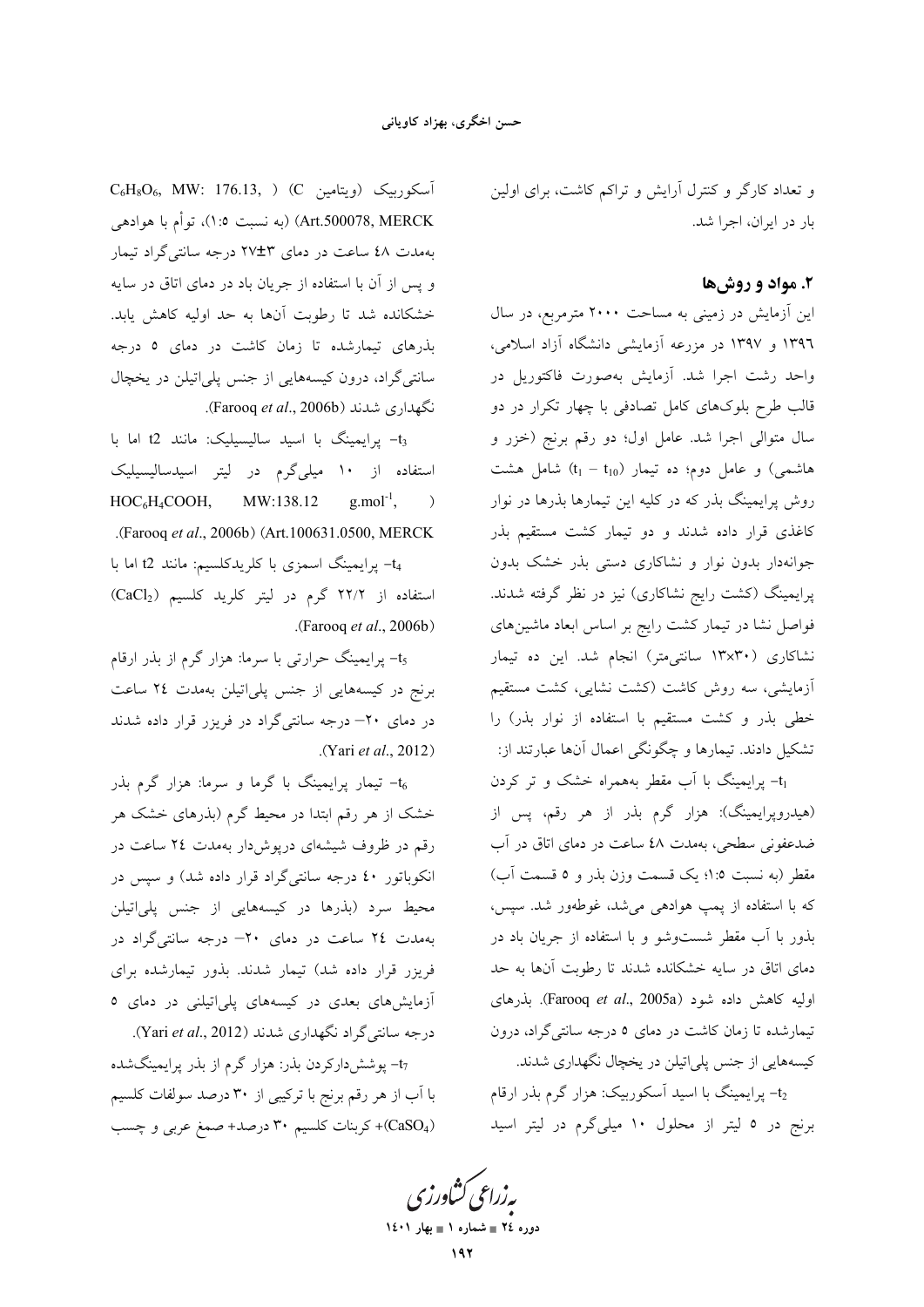و تعداد کارگر و کنترل آرایش و تراکم کاشت، برای اولین بار در ایران، اجرا شد.

## ۲. مواد و روشها

این آزمایش در زمینی به مساحت ۲۰۰۰ مترمربع، در سال ۱۳۹٦ و ۱۳۹۷ در مزرعه آزمایشی دانشگاه آزاد اسلامی، واحد رشت اجرا شد. آزمایش بهصورت فاکتوریل در قالب طرح بلوکهای کامل تصادفی با چهار تکرار در دو سال متوالی اجرا شد. عامل اول؛ دو رقم برنج (خزر و هاشمی) و عامل دوم؛ ده تیمار  $(t_1 - t_{10})$  شامل هشت روش پرایمینگ بذر که در کلیه این تیمارها بذرها در نوار کاغذی قرار داده شدند و دو تیمار کشت مستقیم بذر جوانهدار بدون نوار و نشاكارى دستى بذر خشك بدون پرایمینگ (کشت رایج نشاکاری) نیز در نظر گرفته شدند. فواصل نشا در تیمار کشت رایج بر اساس ابعاد ماشینهای نشاکاری (۱۳x۳۰ سانتی متر) انجام شد. این ده تیمار أزمايشي، سه روش كاشت (كشت نشايي، كشت مستقيم خطی بذر و کشت مستقیم با استفاده از نوار بذر) را تشکیل دادند. تیمارها و چگونگی اعمال آنها عبارتند از:

tı- پرایمینگ با آب مقطر بههمراه خشک و تر کردن (هیدروپرایمینگ): هزار گرم بذر از هر رقم، پس از ضدعفونی سطحی، بهمدت ٤٨ ساعت در دمای اتاق در آب مقطر (به نسبت ٥: ١؛ يک قسمت وزن بذر و ٥ قسمت آب) که با استفاده از پمپ هوادهی میشد، غوطهور شد. سپس، بذور با آب مقطر شستوشو و با استفاده از جریان باد در دمای اتاق در سایه خشکانده شدند تا رطوبت آنها به حد اولیه کاهش داده شود (Farooq et al., 2005a). بذرهای تیمارشده تا زمان کاشت در دمای ۵ درجه سانتیگراد، درون کیسههایی از جنس پلی اتیلن در یخچال نگهداری شدند.

t<sub>2</sub>- پرایمینگ با اسید آسکوربیک: هزار گرم بذر ارقام برنج در ٥ ليتر از محلول ١٠ ميلي گرم در ليتر اسيد

 $C_6H_8O_6$ , MW: 176.13, ) (C أسكوربيك (ويتامين C Art.500078, MERCK) (به نسبت ٥:١)، توأم با هوادهي بهمدت ٤٨ ساعت در دمای ٢٧±٢ درجه سانتی گراد تیمار و پس از آن با استفاده از جریان باد در دمای اتاق در سایه خشکانده شد تا رطوبت آنها به حد اولیه کاهش یابد. بذرهای تیمارشده تا زمان کاشت در دمای ٥ درجه سانتیگراد، درون کیسههایی از جنس پلیاتیلن در یخچال نگهداری شدند (Farooq et al., 2006b).

t3- پرایمینگ با اسید سالیسیلیک: مانند t2 اما با استفاده از ۱۰ میل<sub>ی گر</sub>م در لیتر اسیدسالیسیلیک HOC<sub>6</sub>H<sub>4</sub>COOH, MW:138.12  $g$ .mol<sup>-1</sup>,  $\big)$ .(Farooq et al., 2006b) (Art.100631.0500, MERCK

t4- پرایمینگ اسمزی با کلریدکلسیم: مانند t2 اما با استفاده از ٢٢/٢ گرم در ليتر كلريد كلسيم (CaCl2) .(Farooq et al., 2006b)

t<sub>5</sub> پرایمینگ حرارتی با سرما: هزار گرم از بذر ارقام برنج در کیسههایی از جنس پلیاتیلن بهمدت ٢٤ ساعت در دمای ۲۰– درجه سانتیگراد در فریزر قرار داده شدند (Yari et al., 2012).

- تیمار پرایمینگ با گرما و سرما: هزار گرم بذر خشک از هر رقم ابتدا در محیط گرم (بذرهای خشک هر رقم در ظروف شیشهای درپوش دار بهمدت ۲٤ ساعت در انکوباتور ٤٠ درجه سانتيگراد قرار داده شد) و سپس در محیط سرد (بذرها در کیسههایی از جنس پل<sub>ما</sub>اتیلن بهمدت ٢٤ ساعت در دمای ٢٠- درجه سانتیگراد در فریزر قرار داده شد) تیمار شدند. بذور تیمارشده برای آزمایش های بعدی در کیسههای پلیاتیلنی در دمای ٥ درجه سانتیگراد نگهداری شدند (Yari et al., 2012).

t<sub>7</sub>- پوششدارکردن بذر: هزار گرم از بذر پرایمینگشده با آب از هر رقم برنج با ترکیبی از ۳۰ درصد سولفات کلسیم (CaSO<sub>4</sub>)+ کربنات کلسیم ۳۰ درصد+ صمغ عربی و چسب

بەزراعى ڭشاورز دوره ٢٤ = شماره ١ = بهار ١٤٠١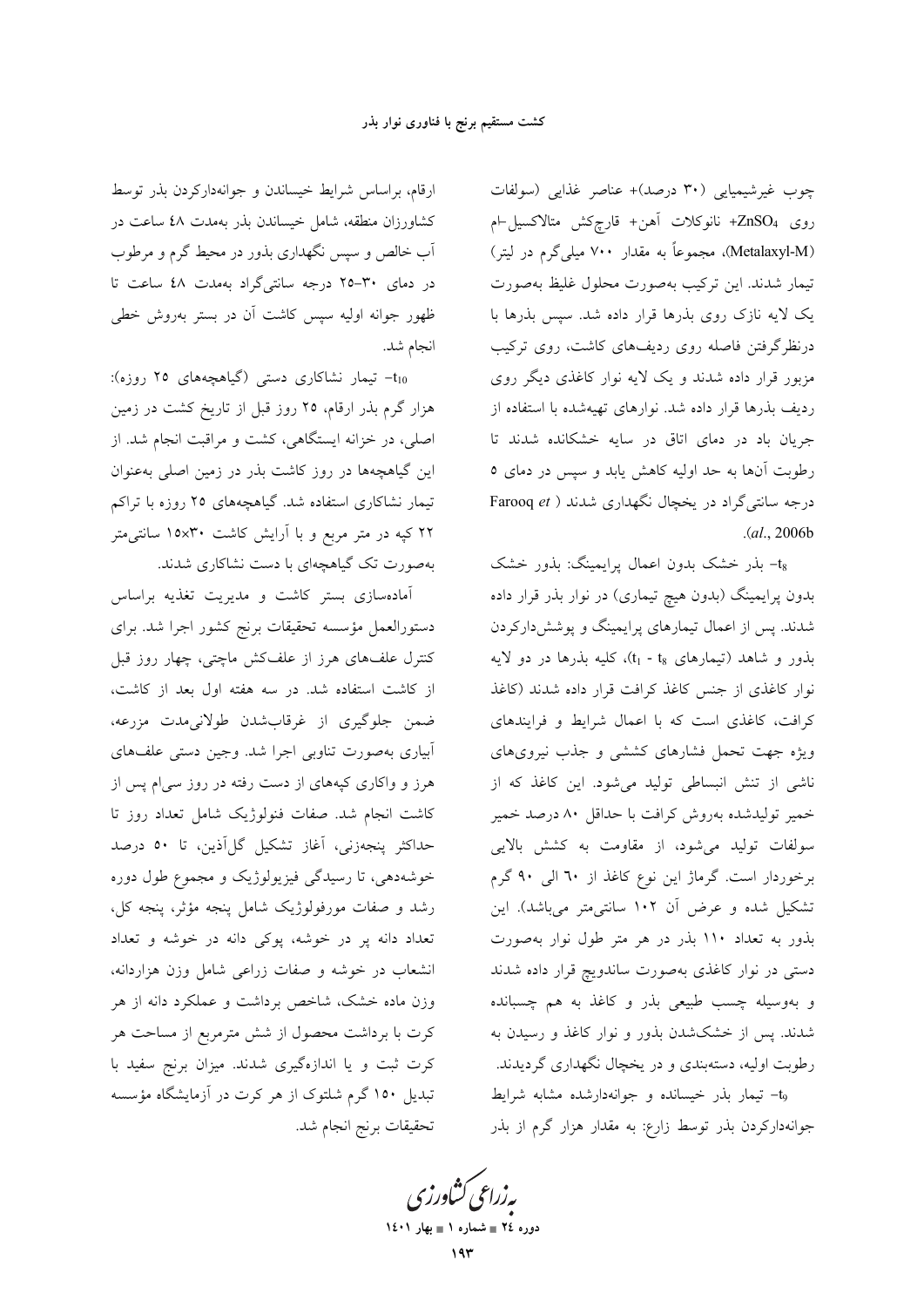چوب غیرشیمیایی (۳۰ درصد)+ عناصر غذایی (سولفات روى ZnSO4+ نانوكلات أهن+ قارچكش متالاكسيل-ام (Metalaxyl-M)، مجموعاً به مقدار ۷۰۰ میلی گرم در لیتر) تیمار شدند. این ترکیب بهصورت محلول غلیظ بهصورت یک لایه نازک روی بذرها قرار داده شد. سپس بذرها با درنظرگرفتن فاصله روی ردیفهای کاشت، روی ترکیب مزبور قرار داده شدند و یک لایه نوار کاغذی دیگر روی ردیف بذرها قرار داده شد. نوارهای تهیهشده با استفاده از جریان باد در دمای اتاق در سایه خشکانده شدند تا رطوبت آنها به حد اولیه کاهش یابد و سیس در دمای ٥ درجه سانتی گراد در یخچال نگهداری شدند ( Farooq et  $(a1, 2006b)$ 

ts- بذر خشک بدون اعمال پرایمینگ: بذور خشک بدون پرایمینگ (بدون هیچ تیماری) در نوار بذر قرار داده شدند. پس از اعمال تیمارهای پرایمینگ و پوششدارکردن بذور و شاهد (تیمارهای t<sub>1</sub> - t<sub>8</sub>)، کلیه بذرها در دو لایه نوار كاغذى از جنس كاغذ كرافت قرار داده شدند (كاغذ کرافت، کاغذی است که با اعمال شرایط و فرایندهای ویژه جهت تحمل فشارهای کششی و جذب نیرویهای ناشی از تنش انبساطی تولید میشود. این کاغذ که از خمیر تولیدشده بهروش کرافت با حداقل ۸۰ درصد خمیر سولفات تولید میشود، از مقاومت به کشش بالایی برخوردار است. گرماژ این نوع کاغذ از ٦٠ الی ٩٠ گرم تشکیل شده و عرض آن ۱۰۲ سانتی متر میباشد). این بذور به تعداد ۱۱۰ بذر در هر متر طول نوار بهصورت دستی در نوار کاغذی بهصورت ساندویچ قرار داده شدند و بهوسیله چسب طبیعی بذر و کاغذ به هم چسبانده شدند. پس از خشکشدن بذور و نوار کاغذ و رسیدن به رطوبت اولیه، دستهبندی و در یخچال نگهداری گردیدند. tg- تیمار بذر خیسانده و جوانهدارشده مشابه شرایط جوانهدارکردن بذر توسط زارع: به مقدار هزار گرم از بذر

ارقام، براساس شرایط خیساندن و جوانهدارکردن بذر توسط کشاورزان منطقه، شامل خیساندن بذر بهمدت ٤٨ ساعت در آب خالص و سپس نگهداری بذور در محیط گرم و مرطوب در دمای ۳۰-۲۵ درجه سانتیگراد بهمدت ٤٨ ساعت تا ظهور جوانه اوليه سيس كاشت آن در بستر بهروش خطى انجام شد.

t<sub>10</sub> تیمار نشاکاری دستی (گیاهچههای ۲۵ روزه): هزار گرم بذر ارقام، ۲۵ روز قبل از تاریخ کشت در زمین اصلی، در خزانه ایستگاهی، کشت و مراقبت انجام شد. از این گیاهچهها در روز کاشت بذر در زمین اصلی بهعنوان تیمار نشاکاری استفاده شد. گیاهچههای ۲۵ روزه با تراکم ۲۲ کیه در متر مربع و با آرایش کاشت ۱۵x۳۰ سانتی متر بهصورت تک گیاهچهای با دست نشاکاری شدند.

آمادهسازی بستر کاشت و مدیریت تغذیه براساس دستورالعمل مؤسسه تحقیقات برنج کشور اجرا شد. برای کنترل علفهای هرز از علفکش ماچتی، چهار روز قبل از کاشت استفاده شد. در سه هفته اول بعد از کاشت، ضمن جلوگيري از غرقابشدن طولاني.مدت مزرعه، أبياري بهصورت تناوبي اجرا شد. وجين دستي علفهاي هرز و واکاری کپههای از دست رفته در روز سی|م پس از کاشت انجام شد. صفات فنولوژیک شامل تعداد روز تا حداكثر پنجەزنى، آغاز تشكيل گل|َذين، تا ٥٠ درصد خوشهدهی، تا رسیدگی فیزیولوژیک و مجموع طول دوره رشد و صفات مورفولوژیک شامل پنجه مؤثر، پنجه کل، تعداد دانه پر در خوشه، پوکی دانه در خوشه و تعداد انشعاب در خوشه و صفات زراعی شامل وزن هزاردانه، وزن ماده خشک، شاخص برداشت و عملکرد دانه از هر کرت با برداشت محصول از شش مترمربع از مساحت هر کرت ثبت و یا اندازهگیری شدند. میزان برنج سفید با تبدیل ۱۵۰ گرم شلتوک از هر کرت در آزمایشگاه مؤسسه تحقيقات برنج انجام شد.

بەزراعى ڭشاورز دوره ٢٤ = شماره ١ = بهار ١٤٠١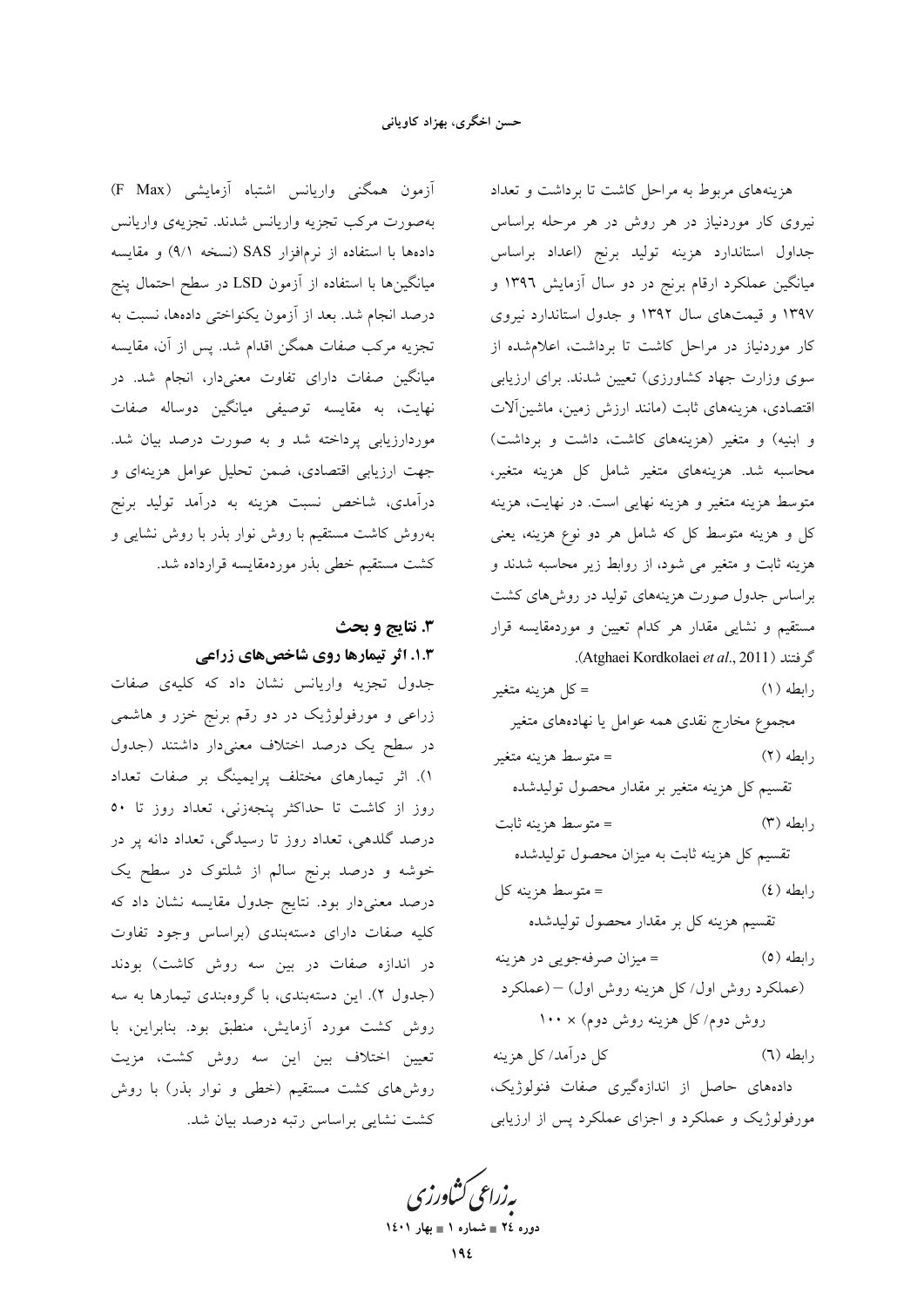آزمون همگنی واریانس اشتباه آزمایشی (F Max) بهصورت مركب تجزيه واريانس شدند. تجزيهي واريانس دادهها با استفاده از نرمافزار SAS (نسخه ۹/۱) و مقایسه میانگینها با استفاده از آزمون LSD در سطح احتمال پنج درصد انجام شد. بعد از آزمون یکنواختی دادهها، نسبت به تجزیه مرکب صفات همگن اقدام شد. پس از آن، مقایسه میانگین صفات دارای تفاوت معنیدار، انجام شد. در نهایت، به مقایسه توصیفی میانگین دوساله صفات موردارزیابی پرداخته شد و به صورت درصد بیان شد. جهت ارزیابی اقتصادی، ضمن تحلیل عوامل هزینهای و درآمدی، شاخص نسبت هزینه به درآمد تولید برنج بهروش کاشت مستقیم با روش نوار بذر با روش نشایی و كشت مستقيم خطى بذر موردمقايسه قرارداده شد.

# 3. نتايج و بحث **۱.۳. اثر تیمارها روی شاخصهای زراعی**

جدول تجزیه واریانس نشان داد که کلیهی صفات زراعی و مورفولوژیک در دو رقم برنج خزر و هاشمی در سطح یک درصد اختلاف معنیدار داشتند (جدول ۱). اثر تیمارهای مختلف پرایمینگ بر صفات تعداد روز از کاشت تا حداکثر پنجهزنی، تعداد روز تا ٥٠ درصد گلدهی، تعداد روز تا رسیدگی، تعداد دانه پر در خوشه و درصد برنج سالم از شلتوک در سطح یک درصد معنیدار بود. نتایج جدول مقایسه نشان داد که کلیه صفات دارای دستهبندی (براساس وجود تفاوت در اندازه صفات در بین سه روش کاشت) بودند (جدول ۲). این دستهبندی، با گروهبندی تیمارها به سه روش كشت مورد أزمايش، منطبق بود. بنابراين، با تعیین اختلاف بین این سه روش کشت، مزیت روشهای کشت مستقیم (خطی و نوار بذر) با روش کشت نشایی براساس رتبه درصد بیان شد.

هزینههای مربوط به مراحل کاشت تا برداشت و تعداد نیروی کار موردنیاز در هر روش در هر مرحله براساس جداول استاندارد هزينه توليد برنج (اعداد براساس میانگین عملکرد ارقام برنج در دو سال آزمایش ۱۳۹۶ و ۱۳۹۷ و قیمتهای سال ۱۳۹۲ و جدول استاندارد نیروی کار موردنیاز در مراحل کاشت تا برداشت، اعلام شده از سوی وزارت جهاد کشاورزی) تعیین شدند. برای ارزیابی اقتصادی، هزینههای ثابت (مانند ارزش زمین، ماشینآلات و ابنیه) و متغیر (هزینههای کاشت، داشت و برداشت) محاسبه شد. هزینههای متغیر شامل کل هزینه متغیر، متوسط هزینه متغیر و هزینه نهایی است. در نهایت، هزینه کل و هزینه متوسط کل که شامل هر دو نوع هزینه، یعنی هزینه ثابت و متغیر می شود، از روابط زیر محاسبه شدند و براساس جدول صورت هزینههای تولید در روشهای کشت مستقیم و نشایی مقدار هر کدام تعیین و موردمقایسه قرار گ فتند (Atghaei Kordkolaei et al., 2011).

= كل هزينه متغير  $(1)$  وابطه مجموع مخارج نقدى همه عوامل يا نهادههاى متغير = متوسط هزينه متغير  $(7)$   $d$ تقسيم كل هزينه متغير بر مقدار محصول توليدشده = متوسط هزينه ثابت  $(T)$  رابطه تقسیم کل هزینه ثابت به میزان محصول تولیدشده = متوسط هزينه كل  $(2)$  وابطه تقسیم هزینه کل بر مقدار محصول تولیدشده = ميزان صرفهجويي در هزينه رابطه (٥) (عملکرد روش اول/کل هزینه روش اول) – (عملکرد روش دوم/کل هزینه روش دوم) × ۱۰۰ كل درآمد/ كل هزينه  $(7)$  رابطه دادههای حاصل از اندازهگیری صفات فنولوژیک، مورفولوژیک و عملکرد و اجزای عملکرد پس از ارزیابی

بەزراعى كشاورزى دوره ٢٤ = شماره ١ = بهار ١٤٠١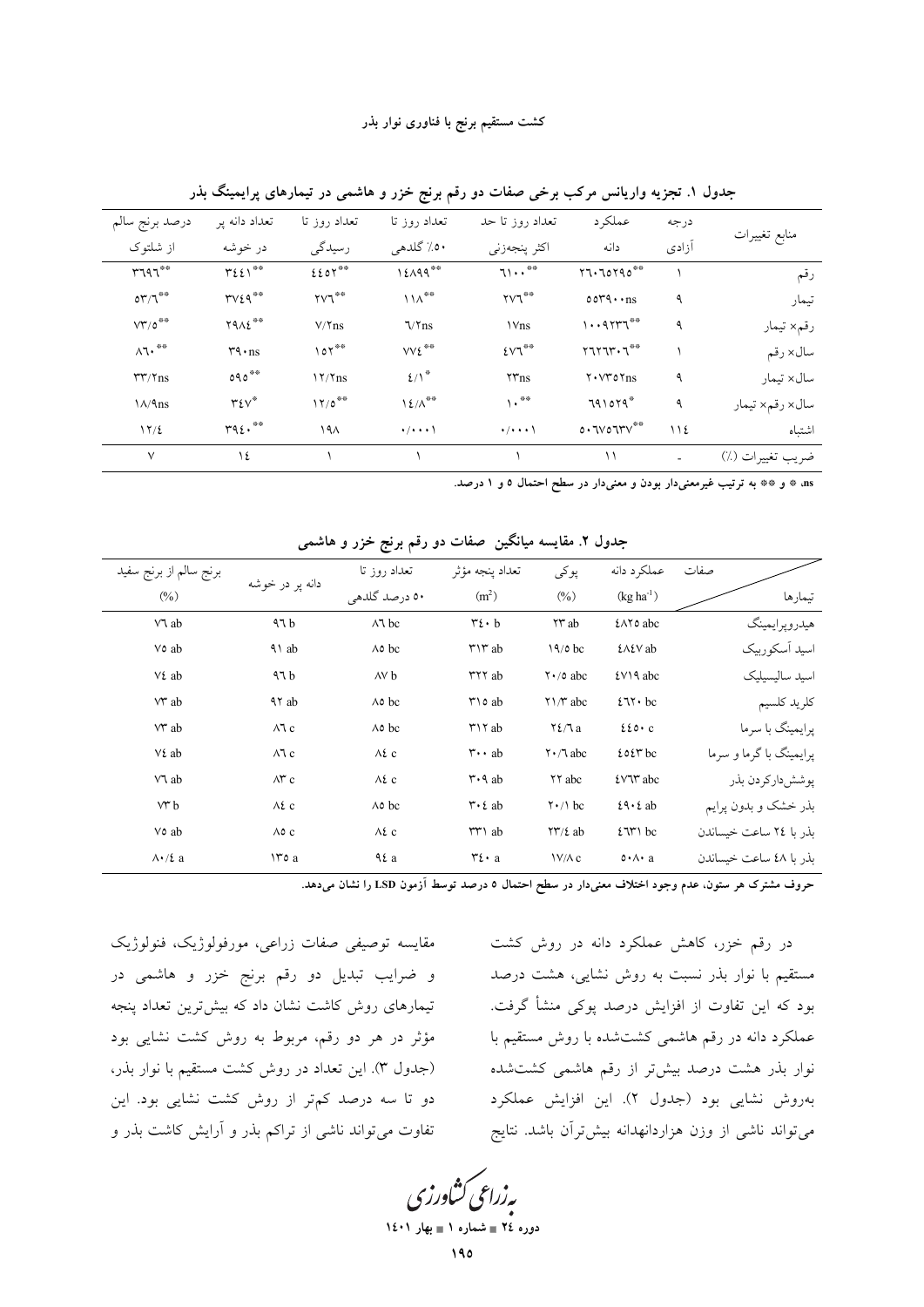| درصد برنج سالم                         | تعداد دانه پر             | تعداد روز تا                                    | تعداد روز تا                | تعداد روز تا حد             | عملكرد                | درجه        | منابع تغييرات    |
|----------------------------------------|---------------------------|-------------------------------------------------|-----------------------------|-----------------------------|-----------------------|-------------|------------------|
| از شلتوک                               | در خوشه                   | رسیدگی                                          | ٥٠٪ گلدهي                   | اكثر پنجەزنى                | دانه                  | آزادى       |                  |
| $r\tau q\tau^{\ast\ast}$               | $\forall \xi \xi \wedge$  | $E$ $E$ $OY$ <sup><math>\circ\circ</math></sup> | 12199                       | 71                          | 57.70790              |             | رقم              |
| $\mathsf{OT}/\mathsf{T}^{\mathsf{op}}$ | $rvz$ q**                 | $\gamma\gamma^{\ast\ast}$                       | $11\Lambda$ <sup>**</sup>   | $\gamma\gamma^{\ast\ast}$   | $0049 \cdot$ ns       | ٩           | تيمار            |
| $VT/O^{\otimes \otimes}$               | $Y9\Lambda\xi^{\ast\ast}$ | $V/\Upsilon$ ns                                 | $\sqrt{\gamma}$ ns          | <b>\Vns</b>                 | 1.411                 | ٩           | رقم× تيمار       |
| $\Lambda$ ٦٠                           | $r_1 \cdot ns$            | $\circ$                                         | $VV\S$ <sup>**</sup>        | $EVT^{\# \Phi}$             | $Y1Y1Y \cdot Y$       |             | سال×رقم          |
| $rr/\tau$ ns                           | $090***$                  | $17/T$ ns                                       | $\mathcal{L}/\Lambda^*$     | $\tau r$ ns                 | $Y \cdot VY$ o $Y$ ns | ٩           | سال×تىمار        |
| $\frac{\lambda}{9}$                    | $\mathsf{r}\mathsf{v}^*$  | $17/0$ <sup>**</sup>                            | $1 \xi/\Lambda^{\ast\ast}$  | $\lambda \cdot$ **          | $791079*$             | ٩           | سال×رقم× تيمار   |
| 17/2                                   | $r_9 \epsilon \cdot$      | ۱۹۸                                             | $\cdot$ / $\cdot$ $\cdot$ \ | $\cdot$ / $\cdot$ $\cdot$ \ | 0.7V07VV              | $\bigwedge$ | اشتباه           |
| $\vee$                                 | ١٤                        |                                                 |                             |                             | ۱۱                    | ۰           | ضريب تغييرات (٪) |

جدول ۱. تجزیه واریانس مرکب برخی صفات دو رقم برنج خزر و هاشمی در تیمارهای پرایمینگ بذر

ns» \* و \*\* به ترتیب غیرمعنیدار بودن و معنیدار در سطح احتمال ٥ و ١ درصد.

| برنج سالم از برنج سفيد  |                     | تعداد روز تا      | تعداد ينجه مؤثر                         | پوکی                                | عملكرد دانه              | صفات |                         |
|-------------------------|---------------------|-------------------|-----------------------------------------|-------------------------------------|--------------------------|------|-------------------------|
| (0/0)                   | دانه پر در خوشه     | ٥٠ درصد گلدهي     | (m <sup>2</sup> )                       | $(\%)$                              | $(kg ha^{-1})$           |      | تيمارها                 |
| VV ab                   | 47b                 | $\wedge$ bc       | $\mathbf{r}$ . b                        | ۲۳ab                                | ٤٨٢٥ abc                 |      | هيدرويرايمينگ           |
| Vo ab                   | $\lambda$ ab        | $\wedge \circ$ bc | $\mathsf{r}\mathsf{v}\mathsf{r}$ ab     | $19/0$ bc                           | <b><i>{A{V ab</i></b>    |      | اسید آسکورییک           |
| Vz ab                   | 47b                 | AV b              | <b>TYY</b> ab                           | $\mathsf{Y} \cdot / \mathsf{0}$ abc | $2V$ A abc               |      | اسىد سالىسىلىك          |
| V ab                    | <b>AY</b> ab        | $\wedge \circ$ bc | $\uparrow$ 10 ab                        | $\gamma \wedge \pi$ abc             | $271 \cdot bc$           |      | كلريد كلسيم             |
| $V^*$ ab                | $\wedge$ 1 c        | $\wedge \circ$ bc | $\uparrow$ 17 ab                        | $Y\ell/Ta$                          | $220 \cdot c$            |      | یرایمینگ با سرما        |
| $V\mathcal{L}$ ab       | $\wedge$ 1 c        | $\Lambda$ ٤ c     | $\mathbf{r} \cdot \mathbf{a}$           | $\mathsf{Y} \cdot \mathsf{A}$ abc   | $2027$ bc                |      | یرایمینگ با گرما و سرما |
| VV ab                   | $\wedge^{\omega}$ c | $\Lambda$ ٤ c     | $\mathsf{r} \cdot \mathsf{A}$ ab        | <b>YY</b> abc                       | <i>i</i> VV abc          |      | پوشش داركردن بذر        |
| $V^*b$                  | $\wedge$ 2 c        | $\wedge \circ$ bc | $\mathbf{r} \cdot \mathbf{\epsilon}$ ab | $\mathsf{Y} \cdot / \mathsf{1}$ bc  | $29 \cdot 2$ ab          |      | بذر خشک و بدون پرایم    |
| Vo ab                   | $\wedge \circ c$    | $\Lambda$ ٤ c     | $rr \wedge ab$                          | $\Upsilon\Upsilon/\xi$ ab           | $2771$ bc                |      | ىذر يا ٢٤ ساعت خىساندن  |
| $\Lambda \cdot / \xi$ a | $\forall$ o a       | $4\ell a$         | $\mathbf{r}$ . a                        | $V/\Lambda c$                       | $0 \cdot \wedge \cdot a$ |      | ىذر يا ٤٨ ساعت خىساندن  |

جدول ۲. مقایسه میانگین صفات دو رقم برنج خزر و هاشمی

حروف مشترک هر ستون، عدم وجود اختلاف معنیدار در سطح احتمال ۵ درصد توسط آزمون LSD را نشان میدهد.

در رقم خزر، کاهش عملکرد دانه در روش کشت مستقیم با نوار بذر نسبت به روش نشایی، هشت درصد بود که این تفاوت از افزایش درصد پوکی منشأ گرفت. عملکرد دانه در رقم هاشمی کشتشده با روش مستقیم با نوار بذر هشت درصد بیشتر از رقم هاشمی کشتشده بهروش نشايي بود (جدول ٢). اين افزايش عملكرد می تواند ناشی از وزن هزاردانهدانه بیشترآن باشد. نتایج

و ضرایب تبدیل دو رقم برنج خزر و هاشمی در تیمارهای روش کاشت نشان داد که بیش ترین تعداد پنجه مؤثر در هر دو رقم، مربوط به روش کشت نشایی بود (جدول ٣). این تعداد در روش کشت مستقیم با نوار بذر، دو تا سه درصد کم تر از روش کشت نشایی بود. این تفاوت می تواند ناشی از تراکم بذر و آرایش کاشت بذر و

مقايسه توصيفي صفات زراعي، مورفولوژيک، فنولوژيک

بەزراعى كشاورزى دوره ٢٤ = شماره ١ = بهار ١٤٠١

 $190$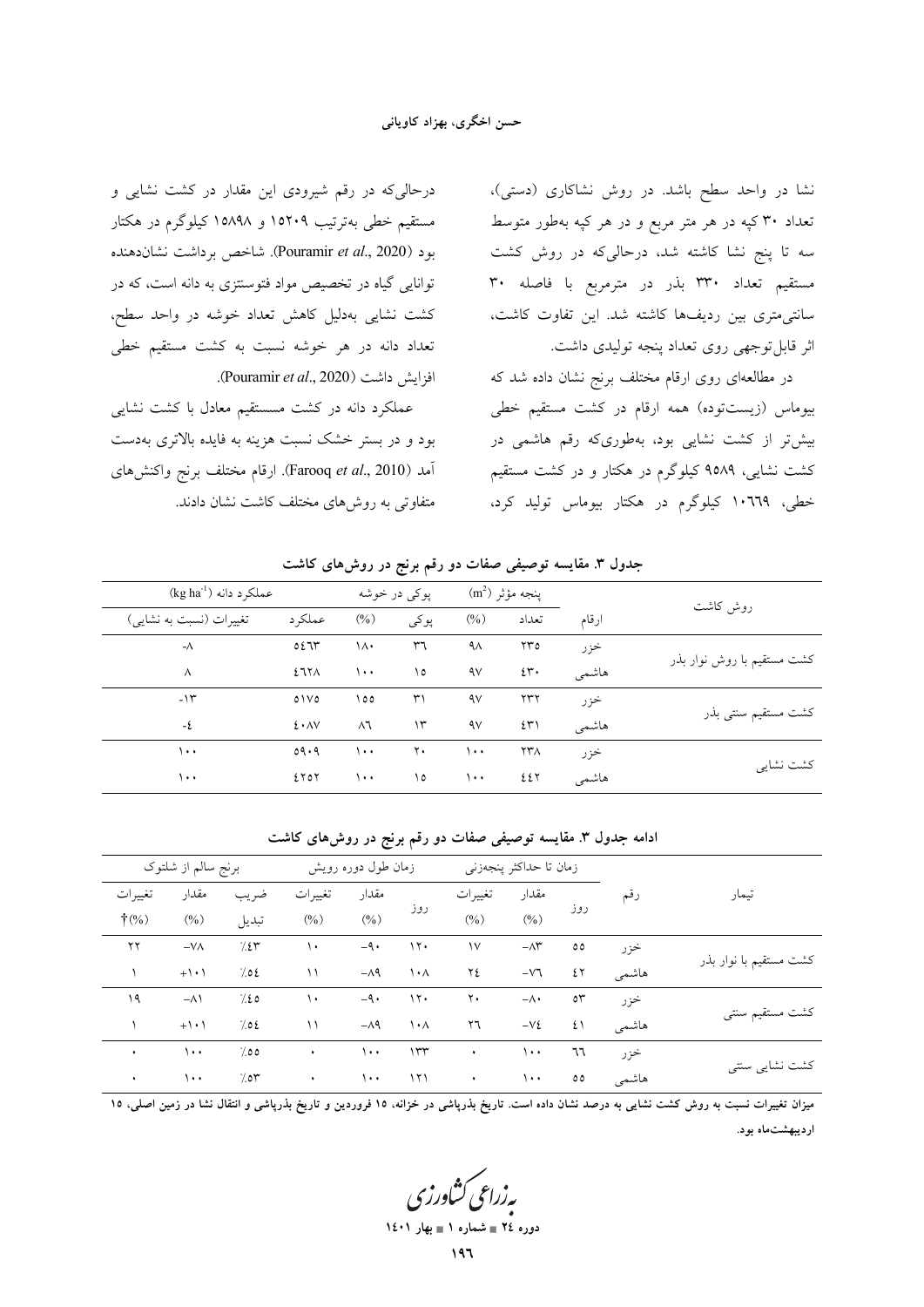#### حسن اخگری، بهزاد کاویانی

درحالیکه در رقم شیرودی این مقدار در کشت نشایی و مستقیم خطی بهترتیب ۱۵۲۰۹ و ۱۵۸۹۸ کیلوگرم در هکتار بود (Pouramir et al., 2020). شاخص برداشت نشاندهنده توانایی گیاه در تخصیص مواد فتوسنتزی به دانه است، که در کشت نشایی بهدلیل کاهش تعداد خوشه در واحد سطح، تعداد دانه در هر خوشه نسبت به کشت مستقیم خطی افزايش داشت (Pouramir et al., 2020).

عملکرد دانه در کشت مسستقیم معادل با کشت نشایی بود و در بستر خشک نسبت هزینه به فایده بالاتری بهدست آمد (Farooq et al., 2010). ارقام مختلف برنج واكنشهاى متفاوتی به روشهای مختلف کاشت نشان دادند. نشا در واحد سطح باشد. در روش نشاکاری (دستی)، تعداد ۳۰ کپه در هر متر مربع و در هر کپه بهطور متوسط سه تا پنج نشا کاشته شد، درحالیکه در روش کشت مستقيم تعداد ٣٣٠ بذر در مترمربع با فاصله ٣٠ سانتی متری بین ردیفها کاشته شد. این تفاوت کاشت، اثر قابل توجهي روي تعداد پنجه توليدي داشت.

در مطالعهای روی ارقام مختلف برنج نشان داده شد که بیوماس (زیستتوده) همه ارقام در کشت مستقیم خطی بیش تر از کشت نشایی بود، بهطوریکه رقم هاشمی در کشت نشایی، ۹۵۸۹ کیلوگرم در هکتار و در کشت مستقیم خطی، ۱۰٬۲۹۹ کیلوگرم در هکتار بیوماس تولید کرد،

|                            | جدون ۱. سایسه توصی <i>عی صفات د</i> و رقم برنج در روس سای تاست |                   |        |              |            |                    |                                    |
|----------------------------|----------------------------------------------------------------|-------------------|--------|--------------|------------|--------------------|------------------------------------|
|                            |                                                                | پنجه مؤثر (m²)    |        | پوکي در خوشه |            |                    | $(\text{kg ha}^{-1})$ عملکر د دانه |
| روش كاشت                   | ارقام                                                          | تعداد             | $(\%)$ | پوکی         | $(\%)$     | عملكر د            | تغییرات (نسبت به نشایی)            |
| كشت مستقيم با روش نوار بذر | خزر                                                            | ۲۳٥               | ٩٨     | ٣٦           | ۱۸۰        | 0.571              | - $\wedge$                         |
|                            | هاشمي                                                          | $2\mathfrak{r}$ . | ٩v     | ۱٥           | ۱۰۰        | 277 <sub>A</sub>   | $\wedge$                           |
| کشت مستقیم سنتی بذر        | خزر                                                            | ۲۳۲               | ٩v     | ٣١           | ۱٥٥        | 01V0               | $-11$                              |
|                            | هاشمي                                                          | ٤٣١               | ٩v     | ۱۳           | $\wedge$ ٦ | $2 \cdot \Delta V$ | -٤                                 |
| كشت نشايي                  | خزر                                                            | ۲۳۸               | ۱۰۰    | ٢٠           | ۱۰۰        | 09.9               | ۱۰۰                                |
|                            | هاشمي                                                          | ٤٤٢               | ۱۰۰    | ۱٥           | $\cdots$   | ETOY               | ۱۰۰                                |

حده ا، ۳ مقایسه توصیف صفات دو رقع در دور روش های کاشت

#### ادامه جدول ۳. مقایسه توصیفی صفات دو رقم برنج در روش۵ای کاشت

| تيمار                  |       | زمان تا حداكثر پنجەزنى |                     |                | زمان طول دوره رویش      |              |           | برنج سالم از شلتوک |                     |                 |
|------------------------|-------|------------------------|---------------------|----------------|-------------------------|--------------|-----------|--------------------|---------------------|-----------------|
|                        | رقم   |                        | مقدار               | تغييرات        |                         | مقدار        | تغييرات   | ضريب               | مقدار               | تغييرات         |
|                        |       | روز                    | $(\%)$              | $(\%)$         | روز                     | $(\%)$       | $(\%)$    | تبديل              | $(\%)$              | $\dagger$ (%)   |
| كشت مستقيم با نوار بذر | خزر   | $\circ \circ$          | $-\wedge \breve{r}$ | $\mathcal{N}$  | 15.                     | $-9.$        | ١٠        | 7.25               | $-V\Lambda$         | $\gamma \gamma$ |
|                        | هاشمي | ٤٢                     | $-\nabla \Upsilon$  | ۲٤             | $\lambda \cdot \lambda$ | $-\lambda$ ۹ | ۱۱        | 702                | $+$ \ $\cdot$ \     |                 |
| كشت مستقيم سنتبى       | خز ر  | $\circ \tau$           | $-\wedge\cdot$      | $\mathbf{y}$ . | 15.                     | $-9.$        | ١٠        | 7.20               | $-\Lambda$          | ۱۹              |
|                        | هاشمي | ٤١                     | $-Vt$               | ٢٦             | $\lambda \cdot \lambda$ | $-\wedge$ ٩  | ۱۱        | 702                | $+$ $\cdot$ $\cdot$ |                 |
|                        | خزر   | ٦٦                     | $\cdots$            | $\bullet$      | 155                     | $\cdots$     | $\bullet$ | 7.00               | $\cdots$            | $\bullet$       |
| كشت نشايي سنتي         | هاشمي | $\circ\circ$           | $\cdots$            | $\sim 100$     | 171                     | $\lambda$    | $\bullet$ | 700                | $\cdots$            | $\bullet$       |
|                        |       |                        |                     |                |                         |              |           |                    |                     |                 |

میزان تغییرات نسبت به روش کشت نشایی به درصد نشان داده است. تاریخ بذرپاشی در خزانه، ۱۵ فروردین و تاریخ بذرپاشی و انتقال نشا در زمین اصلی، ۱۵ اردیبهشتماه بود.

بەزراعى كشاورز<sup>.</sup> دوره ٢٤ = شماره ١ = بهار ١٤٠١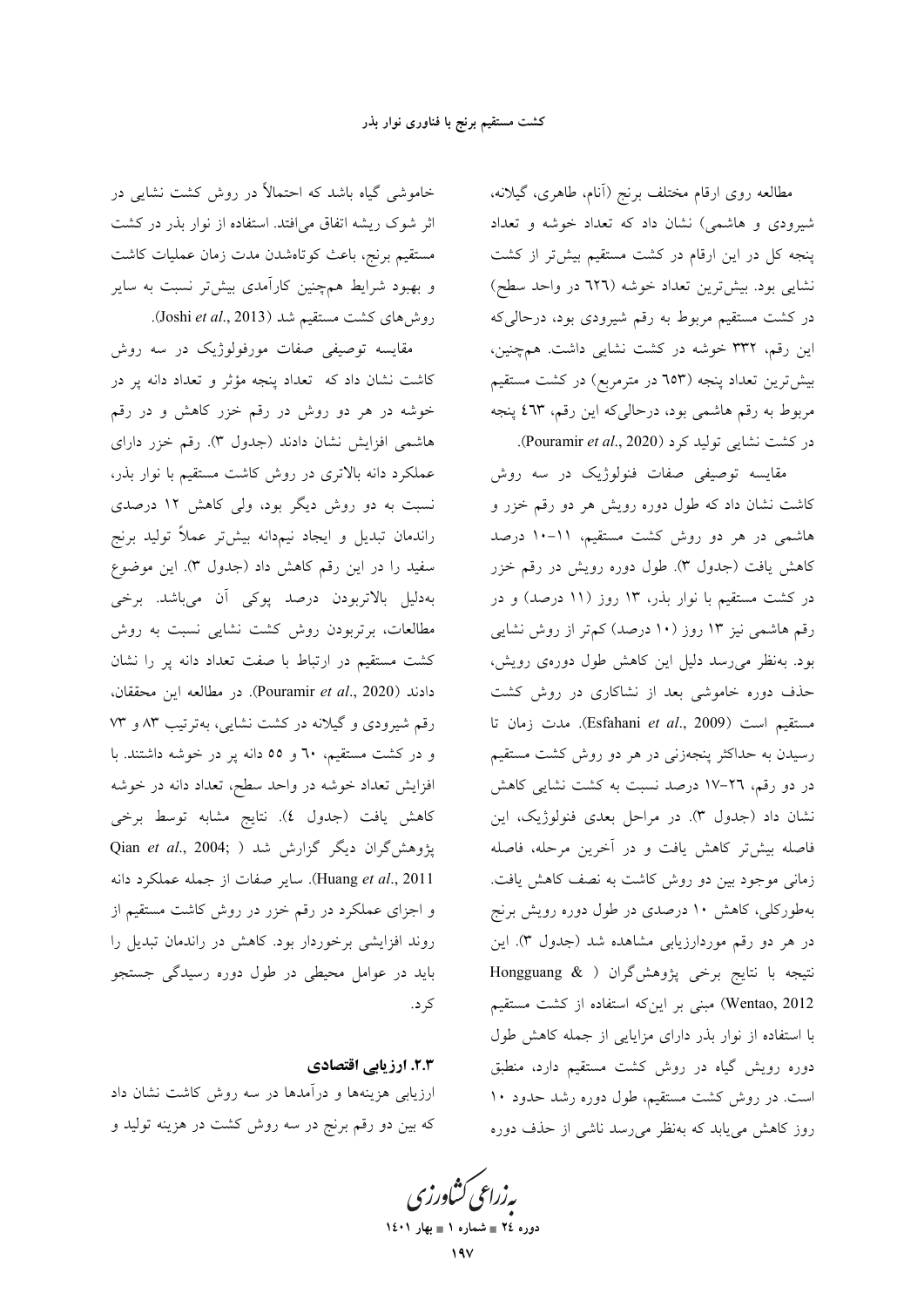مطالعه روى ارقام مختلف برنج (آنام، طاهرى، گيلانه، شیرودی و هاشمی) نشان داد که تعداد خوشه و تعداد پنجه کل در این ارقام در کشت مستقیم بیشتر از کشت نشایی بود. بیشترین تعداد خوشه (٦٢٦ در واحد سطح) در کشت مستقیم مربوط به رقم شیرودی بود، درحالیکه این رقم، ۳۳۲ خوشه در کشت نشایی داشت. همچنین، بیشتررین تعداد پنجه (٦٥٣ در مترمربع) در کشت مستقیم مربوط به رقم هاشمی بود، درحالیکه این رقم، ٤٦٣ پنجه در كشت نشايى توليد كرد (Pouramir et al., 2020).

مقایسه توصیفی صفات فنولوژیک در سه روش کاشت نشان داد که طول دوره رویش هر دو رقم خزر و هاشمی در هر دو روش کشت مستقیم، ۱۱–۱۰ درصد کاهش یافت (جدول ۳). طول دوره رویش در رقم خزر در کشت مستقیم با نوار بذر، ۱۳ روز (۱۱ درصد) و در رقم هاشمی نیز ۱۳ روز (۱۰ درصد) کم تر از روش نشایی بود. بهنظر می رسد دلیل این کاهش طول دورهی رویش، حذف دوره خاموشی بعد از نشاکاری در روش کشت مستقيم است (Esfahani et al., 2009). مدت زمان تا رسیدن به حداکثر پنجهزنی در هر دو روش کشت مستقیم در دو رقم، ٢٦–١٧ درصد نسبت به كشت نشايي كاهش نشان داد (جدول ٣). در مراحل بعدي فنولوژيک، اين فاصله بيش تر كاهش يافت و در آخرين مرحله، فاصله زمانی موجود بین دو روش کاشت به نصف کاهش یافت. بهطورکلی، کاهش ۱۰ درصدی در طول دوره رویش برنج در هر دو رقم موردارزیابی مشاهده شد (جدول ۳). این نتيجه با نتايج برخي پژوهش گران ( Hongguang & Wentao, 2012) مبنی بر این که استفاده از کشت مستقیم با استفاده از نوار بذر دارای مزایایی از جمله کاهش طول دوره رویش گیاه در روش کشت مستقیم دارد، منطبق است. در روش کشت مستقیم، طول دوره رشد حدود ۱۰ روز کاهش می پابد که بهنظر می رسد ناشی از حذف دوره

خاموشی گیاه باشد که احتمالاً در روش کشت نشایی در اثر شوک ریشه اتفاق می افتد. استفاده از نوار بذر در کشت مستقيم برنج، باعث كوتاهشدن مدت زمان عمليات كاشت و بهبود شرایط همچنین کارآمدی بیشتر نسبت به سایر روشهای کشت مستقیم شد (Joshi et al., 2013).

مقايسه توصيفي صفات مورفولوژيک در سه روش کاشت نشان داد که تعداد پنجه مؤثر و تعداد دانه پر در خوشه در هر دو روش در رقم خزر کاهش و در رقم هاشمی افزایش نشان دادند (جدول ۳). رقم خزر دارای عملکرد دانه بالاتری در روش کاشت مستقیم با نوار بذر، نسبت به دو روش دیگر بود، ولی کاهش ۱۲ درصدی راندمان تبديل و ايجاد نيمدانه بيشتر عملاً توليد برنج سفيد را در اين رقم كاهش داد (جدول ٣). اين موضوع بهدلیل بالاتربودن درصد پوکی آن میباشد. برخی مطالعات، برتربودن روش کشت نشایی نسبت به روش کشت مستقیم در ارتباط با صفت تعداد دانه پر را نشان دادند (Pouramir et al., 2020). در مطالعه این محققان، رقم شیرودی و گیلانه در کشت نشایی، بهترتیب ۸۳ و ۷۳ و در کشت مستقیم، ٦٠ و ٥٥ دانه پر در خوشه داشتند. با افزایش تعداد خوشه در واحد سطح، تعداد دانه در خوشه كاهش يافت (جدول ٤). نتايج مشابه توسط برخي پژوهش گران دیگر گزارش شد ( Qian et al., 2004; ) Huang et al., 2011). ساير صفات از جمله عملكرد دانه و اجزای عملکرد در رقم خزر در روش کاشت مستقیم از روند افزایشی برخوردار بود. کاهش در راندمان تبدیل را باید در عوامل محیطی در طول دوره رسیدگی جستجو کر د.

### ٢.٣. ارزيابي اقتصادي

ارزیابی هزینهها و درآمدها در سه روش کاشت نشان داد که بین دو رقم برنج در سه روش کشت در هزینه تولید و

بەزراعى ڭشاورز<sup>.</sup>

دوره ٢٤ = شماره ١ = بهار ١٤٠١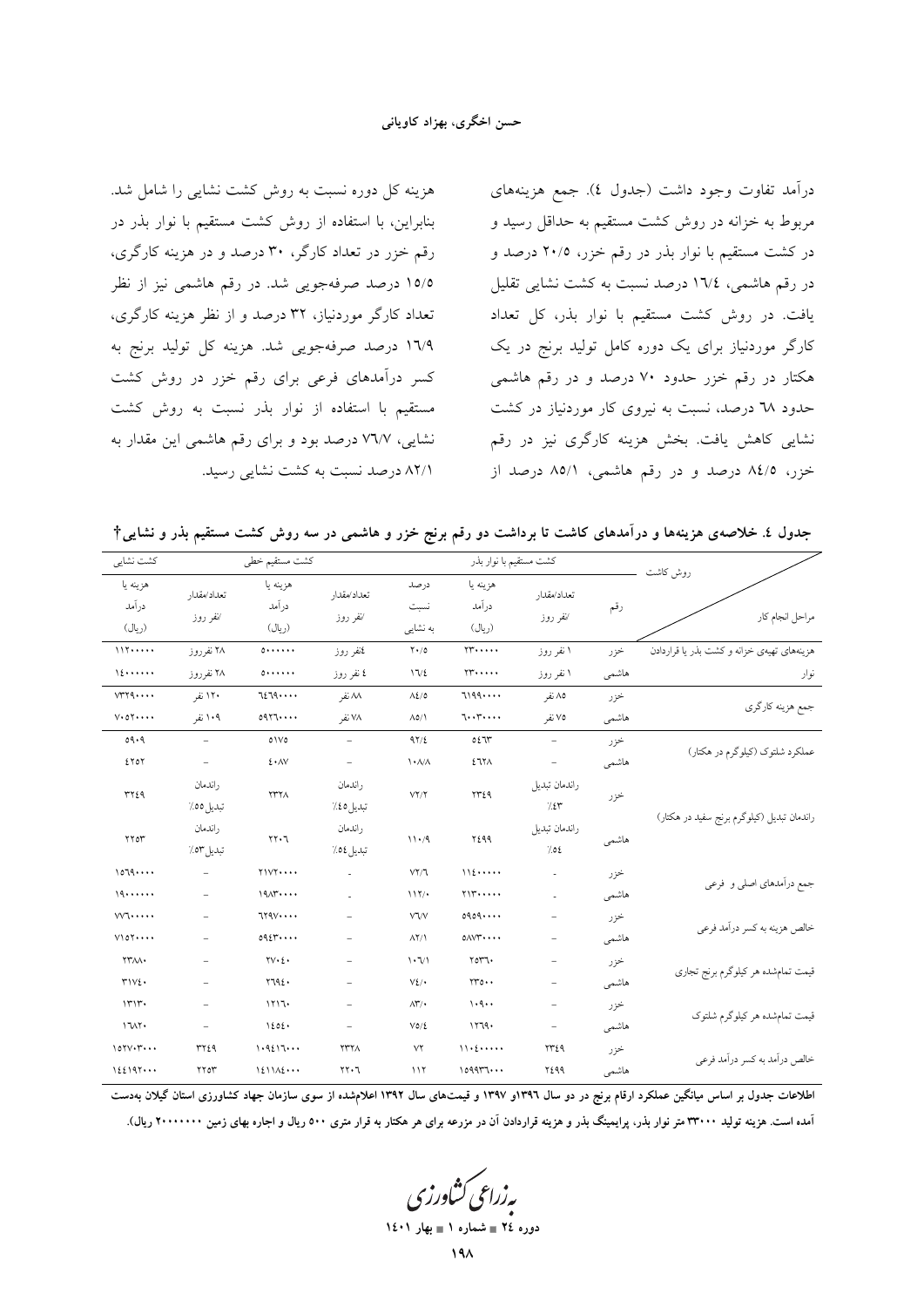هزینه کل دوره نسبت به روش کشت نشایی را شامل شد. بنابراین، با استفاده از روش کشت مستقیم با نوار بذر در رقم خزر در تعداد کارگر، ۳۰ درصد و در هزینه کارگری، ١٥/٥ درصد صرفهجويي شد. در رقم هاشمي نيز از نظر تعداد کارگر موردنیاز، ۳۲ درصد و از نظر هزینه کارگری، ۱٦/٩ درصد صرفهجويي شد. هزينه كل توليد برنج به کسر درآمدهای فرعی برای رقم خزر در روش کشت مستقیم با استفاده از نوار بذر نسبت به روش کشت نشایی، ۷٦/۷ درصد بود و برای رقم هاشمی این مقدار به ٨٢/١ درصد نسبت به كشت نشايي رسيد.

درآمد تفاوت وجود داشت (جدول ٤). جمع هزينههاي مربوط به خزانه در روش کشت مستقیم به حداقل رسید و در کشت مستقیم با نوار بذر در رقم خزر، ۲۰/۵ درصد و در رقم هاشمی، ١٦/٤ درصد نسبت به کشت نشایی تقلیل یافت. در روش کشت مستقیم با نوار بذر، کل تعداد کارگر موردنیاز برای یک دوره کامل تولید برنج در یک هکتار در رقم خزر حدود ۷۰ درصد و در رقم هاشمی حدود ٦٨ درصد، نسبت به نيروي كار موردنياز در كشت نشایی کاهش یافت. بخش هزینه کارگری نیز در رقم خزر، ۸٤/٥ درصد و در رقم هاشمي، ۸۵/۱ درصد از

جدول ٤. خلاصهى هزینهها و درآمدهاى كاشت تا برداشت دو رقم برنج خزر و هاشمى در سه روش كشت مستقیم بذر و نشایى†

| كشت نشايي                       |                          | كشت مستقيم خطى              |                          |                             | كشت مستقيم با نوار بذر          |                          |       | روش كاشت                                   |
|---------------------------------|--------------------------|-----------------------------|--------------------------|-----------------------------|---------------------------------|--------------------------|-------|--------------------------------------------|
| هزينه يا<br>در آمد<br>(ريال)    | تعداد/مقدار<br>⁄نفر روز  | هزينه يا<br>درآمد<br>(ريال) | تعداد/مقدار<br>⁄نفر روز  | درصد<br>نسبت<br>به نشایی    | هزينه يا<br>درأمد<br>(ريال)     | تعداد/مقدار<br>⁄نفر روز  | رقم   | مراحل انجام كار                            |
| 117                             | ۲۸ نفرروز                | 0                           | نمنفر روز                | $Y \cdot / 0$               | $YY \cdot \cdot \cdot \cdot$    | ۱ نفر روز                | خزر   | هزینههای تهیهی خزانه و کشت بذر یا قراردادن |
| 12                              | ۲۸ نفرروز                | $0 \cdots \cdots$           | ٤ نفر روز                | 17/2                        | $\gamma\gamma\ldots$            | ۱ نفر روز                | هاشمى | نوار                                       |
| VT1                             | ۱۲۰ نفر                  | 7279                        | ۸۸ نفر                   | $\Lambda$ 2/0               | 7199                            | ۸۵ نفر                   | خزر   | جمع هزينه كارگري                           |
| $V \cdot 0 \Upsilon \cdots$     | ۱۰۹ نفر                  | 0977                        | ۷۸ نفر                   | $\Lambda$ 0/1               | 7.17.1.1                        | ۷۵ نفر                   | هاشمى |                                            |
| 09.9                            | $\equiv$                 | 01V0                        | $\overline{\phantom{a}}$ | 97/2                        | 0277                            | $\overline{\phantom{a}}$ | خزر   | عملکرد شلتوک (کیلوگرم در هکتار)            |
| EYOY                            | $\overline{\phantom{a}}$ | $E \cdot \Delta V$          | $\overline{\phantom{a}}$ | $\lambda$ $\lambda/\lambda$ | 2717A                           | $\overline{\phantom{a}}$ | هاشمى |                                            |
| <b>٣٢٤٩</b>                     | ر اندمان<br>تبديل ٥٥٪    | <b>TTTA</b>                 | راندمان<br>تبديل 20٪     | YY/Y                        | YYZQ                            | راندمان تبديل<br>7.25    | خزر   | راندمان تبدیل (کیلوگرم برنج سفید در هکتار) |
| YY                              | ر اندمان<br>تبديل ٥٣٪    | $T^{\bullet}$               | راندمان<br>تبديل ٥٤٪     | 11.4                        | 2299                            | راندمان تبديل<br>7.02    | هاشمى |                                            |
| 1079                            | $\equiv$                 | Y1VY                        |                          | $V\Upsilon/\Upsilon$        | 112                             | $\overline{a}$           | خزر   |                                            |
| 19                              | $\equiv$                 | 19,17                       |                          | 117/                        | YYY                             |                          | هاشمي | جمع درآمدهای اصلی و فرعی                   |
| W1                              | $\equiv$                 | 7790                        |                          | <b>VVV</b>                  | 0909                            |                          | خزر   |                                            |
| V10Y                            | ÷                        | 0921                        |                          | $\Lambda$ Y/                | $0 \wedge \vee \Upsilon \cdots$ | $\overline{\phantom{a}}$ | هاشمى | خالص هزينه به كسر درأمد فرعي               |
| $\Upsilon\Upsilon\wedge\Lambda$ | $\qquad \qquad -$        | $\forall v \cdot \xi$       | ÷,                       | $\cdot \nu$                 | YOTV                            | $\overline{\phantom{a}}$ | خزر   |                                            |
| TIV2.                           | $\equiv$                 | Y192.                       |                          | $V_{\ell}$                  | $rro \cdots$                    | $\overline{\phantom{a}}$ | هاشمى | قیمت تمامشده هر کیلوگرم برنج تجاری         |
| 1717.                           | $\overline{\phantom{a}}$ | 1117.                       |                          | $\Lambda \Upsilon'$         | 1.9                             | $\overline{\phantom{a}}$ | خزر   |                                            |
| 1717.                           |                          | 1202.                       | $\overline{\phantom{0}}$ | $V_0/\xi$                   | 11779.                          | $\overline{\phantom{m}}$ | هاشمى | قیمت تمامشده هر کیلوگرم شلتوک              |
| $10YV\cdot Y\cdot\cdot\cdot$    | ٣٢٤٩                     | 1.9217                      | <b>YYYA</b>              | $Y\Upsilon$                 | 11.2                            | ٢٣٤٩                     | خزر   |                                            |
| 122197                          | YY0Y                     | 1211A2                      | $YY \cdot 7$             | ۱۱۲                         | 109917                          | 7299                     | هاشمي | خالص درآمد به كسر درآمد فرعى               |

اطلاعات جدول بر اساس میانگین عملکرد ارقام برنج در دو سال ۱۳۹۲و ۱۳۹۷ و قیمتهای سال ۱۳۹۲ اعلامشده از سوی سازمان جهاد کشاورزی استان گیلان بهدست آمده است. هزینه تولید ۳۴۰۰۰ متر نوار بذر، پرایمینگ بذر و هزینه قراردادن آن در مزرعه برای هر هکتار به قرار متری ۵۰۰ ریال و اجاره بهای زمین ۲۰۰۰۰۰۰۰ ریال).

یه زراعی کشاورزی

دوره ٢٤ = شماره ١ = بهار ١٤٠١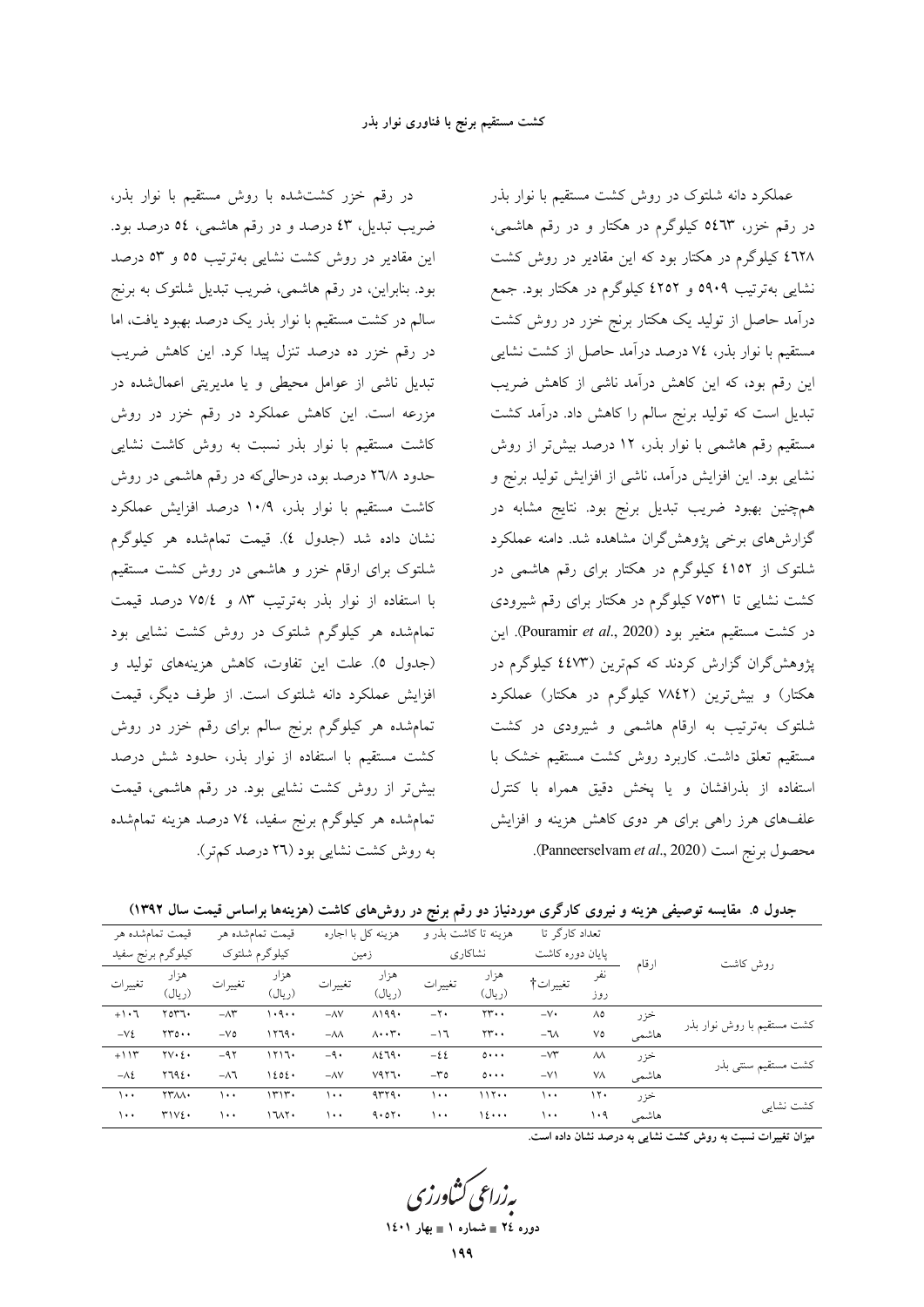در رقم خزر کشتشده با روش مستقیم با نوار بذر، ضریب تبدیل، ٤٣ درصد و در رقم هاشمې، ٥٤ درصد بود. این مقادیر در روش کشت نشایی بهترتیب ٥٥ و ٥٣ درصد بود. بنابراین، در رقم هاشمی، ضریب تبدیل شلتوک به برنج سالم در کشت مستقیم با نوار بذر یک درصد بهبود یافت، اما در رقم خزر ده درصد تنزل پیدا کرد. این کاهش ضریب تبدیل ناشی از عوامل محیطی و یا مدیریتی اعمال شده در مزرعه است. این کاهش عملکرد در رقم خزر در روش کاشت مستقیم با نوار بذر نسبت به روش کاشت نشایی حدود ۲٦/۸ درصد بود، درحالیکه در رقم هاشمی در روش کاشت مستقیم با نوار بذر، ۱۰/۹ درصد افزایش عملکرد نشان داده شد (جدول ٤). قيمت تمامشده هر كيلوگرم شلتوک برای ارقام خزر و هاشمی در روش کشت مستقیم با استفاده از نوار بذر بهترتیب ۸۳ و ۷۵/٤ درصد قیمت تمامشده هر کیلوگرم شلتوک در روش کشت نشایی بود (جدول ٥). علت اين تفاوت، كاهش هزينههاى توليد و افزایش عملکرد دانه شلتوک است. از طرف دیگر، قیمت .<br>تمامشده هر کیلوگرم برنج سالم برای رقم خزر در روش کشت مستقیم با استفاده از نوار بذر، حدود شش درصد بیشتر از روش کشت نشایی بود. در رقم هاشمی، قیمت تمامشده هر کیلوگرم برنج سفید، ٧٤ درصد هزینه تمامشده به روش کشت نشایی بود (۲٦ درصد کم تر).

عملکرد دانه شلتوک در روش کشت مستقیم با نوار بذر در رقم خزر، ٥٤٦٣ کیلوگرم در هکتار و در رقم هاشمی، ٤٦٢٨ کیلوگرم در هکتار بود که این مقادیر در روش کشت نشایی بهترتیب ۵۹۰۹ و ۶۲۵۲ کیلوگرم در هکتار بود. جمع درآمد حاصل از تولید یک هکتار برنج خزر در روش کشت مستقیم با نوار بذر، ٧٤ درصد درآمد حاصل از کشت نشایبی این رقم بود، که این کاهش درآمد ناشی از کاهش ضریب تبدیل است که تولید برنج سالم را کاهش داد. درآمد کشت مستقیم رقم هاشمی با نوار بذر، ١٢ درصد بیش تر از روش نشایی بود. این افزایش درآمد، ناشی از افزایش تولید برنج و همچنین بهبود ضریب تبدیل برنج بود. نتایج مشابه در گزارشهای برخی پژوهشگران مشاهده شد. دامنه عملکرد شلتوک از ٤١٥٢ کيلوگرم در هکتار براي رقم هاشمې در کشت نشایی تا ۷۵۳۱ کیلوگرم در هکتار برای رقم شیرودی در كشت مستقيم متغير بود (Pouramir et al., 2020). اين پژوهشگران گزارش کردند که کم ترین (٤٤٧٣ کیلوگرم در هکتار) و بیشترین (۷۸٤۲ کیلوگرم در هکتار) عملکرد شلتوک بهترتیب به ارقام هاشمی و شیرودی در کشت مستقیم تعلق داشت. کاربرد روش کشت مستقیم خشک با استفاده از بذرافشان و يا پخش دقيق همراه با كنترل علفهای هرز راهی برای هر دوی کاهش هزینه و افزایش Panneerselvam et al., 2020). (Panneerselvam et al., 2020).

جدول ۵. مقایسه توصیفی هزینه و نیروی کارگری موردنیاز دو رقم برنج در روشهای کاشت (هزینهها براساس قیمت سال ۱۳۹۲)

|                            |       |                        | تعداد کارگر تا | هزینه تا کاشت بذر و                         |                      | هزينه كل با اجاره                    |                   | قیمت تمامشده هر |                     | قیمت تمامشده هر         |              |
|----------------------------|-------|------------------------|----------------|---------------------------------------------|----------------------|--------------------------------------|-------------------|-----------------|---------------------|-------------------------|--------------|
|                            |       | پایان دوره کاشت        |                | نشاكارى                                     |                      | زمین                                 |                   | كيلوگرم شلتوك   |                     | كيلوگرم برنج سفيد       |              |
| روش کاشت                   | ارقام | نفر<br>تغييرات†<br>روز |                | هزار<br>هزار<br>تغييرات<br>(ريال)<br>(ريال) | تغييرات              | هزار<br>(ريال)                       | تغييرات           | هزار<br>(ريال)  | تغييرات             |                         |              |
| کشت مستقیم با روش نوار بذر | خزر   | ٨٥                     | $-V$ .         | $\gamma \gamma \cdot \cdot$                 | $-\mathbf{Y}$        | $\lambda$ 199.                       | $-\Delta V$       | ۱۰۹۰۰           | $-\Lambda \Upsilon$ | 7077.                   | $+1.7$       |
|                            | هاشمي | ٧٥                     | $-7\lambda$    | $\Upsilon\Upsilon\cdots$                    | $-17$                | $\Lambda \cdot \cdot \Upsilon \cdot$ | $-\lambda\lambda$ | 1179.           | $-VO$               | $\gamma\gamma_0 \cdots$ | $-Vt$        |
|                            | خزر   | $\lambda\lambda$       | $-V^*$         | $0 \cdot \cdot \cdot$                       | $-\xi\zeta$          | $\lambda \xi$ ٦٩٠                    | $-9.$             | ۱۲۱٦۰           | $-95$               | $\forall v \cdot \xi$   | $+114$       |
| کشت مستقیم سنتی بدر        | هاشمى | ٧Λ                     | $-V$           | $0 \cdots$                                  | $-\mathfrak{r}\circ$ | V4Y1.                                | $-\Delta V$       | 1202.           | $-\lambda$ ٦        | Y792.                   | $-\lambda$ ٤ |
|                            | خزر   | $\gamma$               | ۱۰۰            | 117                                         | $\cdots$             | 4779.                                | ۱۰۰               | ۱۳۱۳۰           | ۱۰۰                 | <b><i>TTAA</i></b>      | $\cdots$     |
| كشت نشايي                  | هاشمي | ۱۰۹                    | ۱۰۰            | 12                                          | ۱۰۰                  | 9.07.                                | ۱۰۰               | 1111            | ۱۰۰                 | TIV2.                   | ۱۰۰          |

میزان تغییرات نسبت به روش کشت نشایی به درصد نشان داده است.

ده ، ه ٢٤ = شماره ١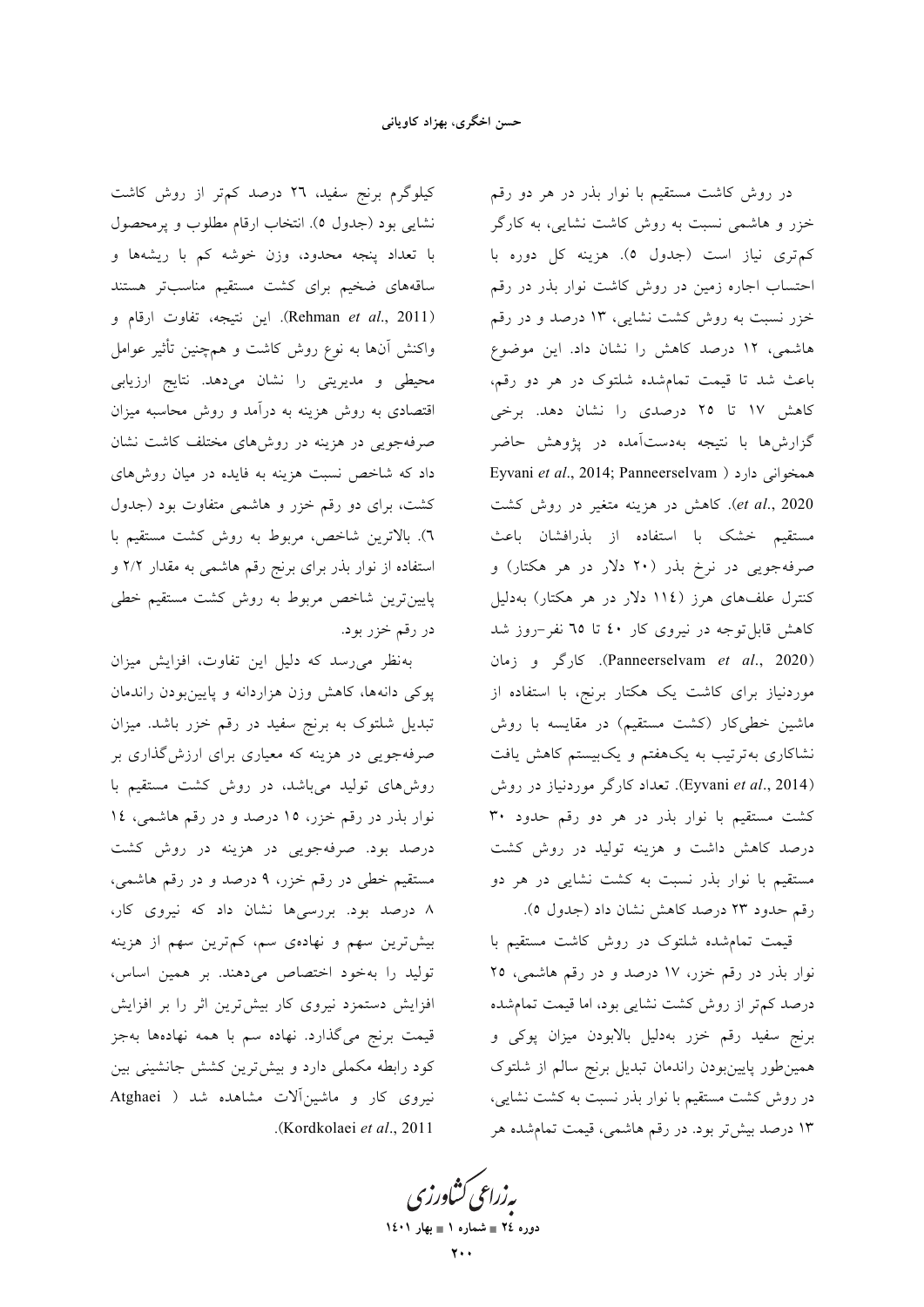کیلوگرم برنج سفید، ۲٦ درصد کمتر از روش کاشت نشایی بود (جدول ٥). انتخاب ارقام مطلوب و پرمحصول با تعداد پنجه محدود، وزن خوشه کم با ریشهها و ساقههای ضخیم برای کشت مستقیم مناسبتر هستند (Rehman et al., 2011). این نتیجه، تفاوت ارقام و واکنش آنها به نوع روش کاشت و همچنین تأثیر عوامل محیطی و مدیریتی را نشان میدهد. نتایج ارزیابی اقتصادی به روش هزینه به درآمد و روش محاسبه میزان صرفهجویی در هزینه در روشهای مختلف کاشت نشان داد که شاخص نسبت هزینه به فایده در میان روشهای کشت، برای دو رقم خزر و هاشمی متفاوت بود (جدول ٦). بالاترين شاخص، مربوط به روش كشت مستقيم با استفاده از نوار بذر برای برنج رقم هاشمی به مقدار ۲/۲ و پایینترین شاخص مربوط به روش کشت مستقیم خطی در رقم خزر بود.

به نظر می رسد که دلیل این تفاوت، افزایش میزان پوکی دانهها، کاهش وزن هزاردانه و پایینبودن راندمان تبدیل شلتوک به برنج سفید در رقم خزر باشد. میزان صرفهجویی در هزینه که معیاری برای ارزش گذاری بر روشهای تولید میباشد، در روش کشت مستقیم با نوار بذر در رقم خزر، ١٥ درصد و در رقم هاشمي، ١٤ درصد بود. صرفهجویی در هزینه در روش کشت مستقیم خطی در رقم خزر، ۹ درصد و در رقم هاشمی، ۸ درصد بود. بررسیها نشان داد که نیروی کار، بیشترین سهم و نهادهی سم، کمترین سهم از هزینه تولید را بهخود اختصاص میدهند. بر همین اساس، افزایش دستمزد نیروی کار بیشترین اثر را بر افزایش قیمت برنج میگذارد. نهاده سم با همه نهادهها بهجز کود رابطه مکملی دارد و بیش ترین کشش جانشینی بین نیروی کار و ماشین آلات مشاهده شد ( Atghaei .(Kordkolaei et al., 2011

در روش کاشت مستقیم با نوار بذر در هر دو رقم خزر و هاشمی نسبت به روش کاشت نشایی، به کارگر كم ترى نياز است (جدول ٥). هزينه كل دوره با احتساب اجاره زمین در روش کاشت نوار بذر در رقم خزر نسبت به روش کشت نشایی، ۱۳ درصد و در رقم هاشمی، ۱۲ درصد کاهش را نشان داد. این موضوع باعث شد تا قیمت تمامشده شلتوک در هر دو رقم، کاهش ۱۷ تا ۲۵ درصدی را نشان دهد. برخی گزارشها با نتیجه بهدستآمده در پژوهش حاضر Eyvani et al., 2014; Panneerselvam ) ممخوانی دارد et al., 2020). كاهش در هزينه متغير در روش كشت مستقیم خشک با استفاده از بذرافشان باعث صرفهجویی در نرخ بذر (۲۰ دلار در هر هکتار) و کنترل علفهای هرز (١١٤ دلار در هر هکتار) بهدلیل کاهش قابل توجه در نیروی کار ٤٠ تا ٦٥ نفر-روز شد (Panneerselvam et al., 2020). كارگر و زمان موردنیاز برای کاشت یک هکتار برنج، با استفاده از ماشین خطی کار (کشت مستقیم) در مقایسه با روش نشاکاری بهترتیب به یکهفتم و یکبیستم کاهش یافت (Eyvani et al., 2014). تعداد کارگر موردنیاز در روش کشت مستقیم با نوار بذر در هر دو رقم حدود ۳۰ درصد کاهش داشت و هزینه تولید در روش کشت مستقیم با نوار بذر نسبت به کشت نشایی در هر دو رقم حدود ٢٣ درصد كاهش نشان داد (جدول ٥).

قیمت تمامشده شلتوک در روش کاشت مستقیم با نوار بذر در رقم خزر، ١٧ درصد و در رقم هاشمي، ٢٥ درصد کم تر از روش کشت نشایی بود، اما قیمت تمامشده برنج سفيد رقم خزر بهدليل بالابودن ميزان پوكي و همین طور پایین بودن راندمان تبدیل برنج سالم از شلتوک در روش کشت مستقیم با نوار بذر نسبت به کشت نشایی، ۱۳ درصد بیشتر بود. در رقم هاشمی، قیمت تمامشده هر

بەزراعى ڭشاورزى دوره ٢٤ = شماره ١ = بهار ١٤٠١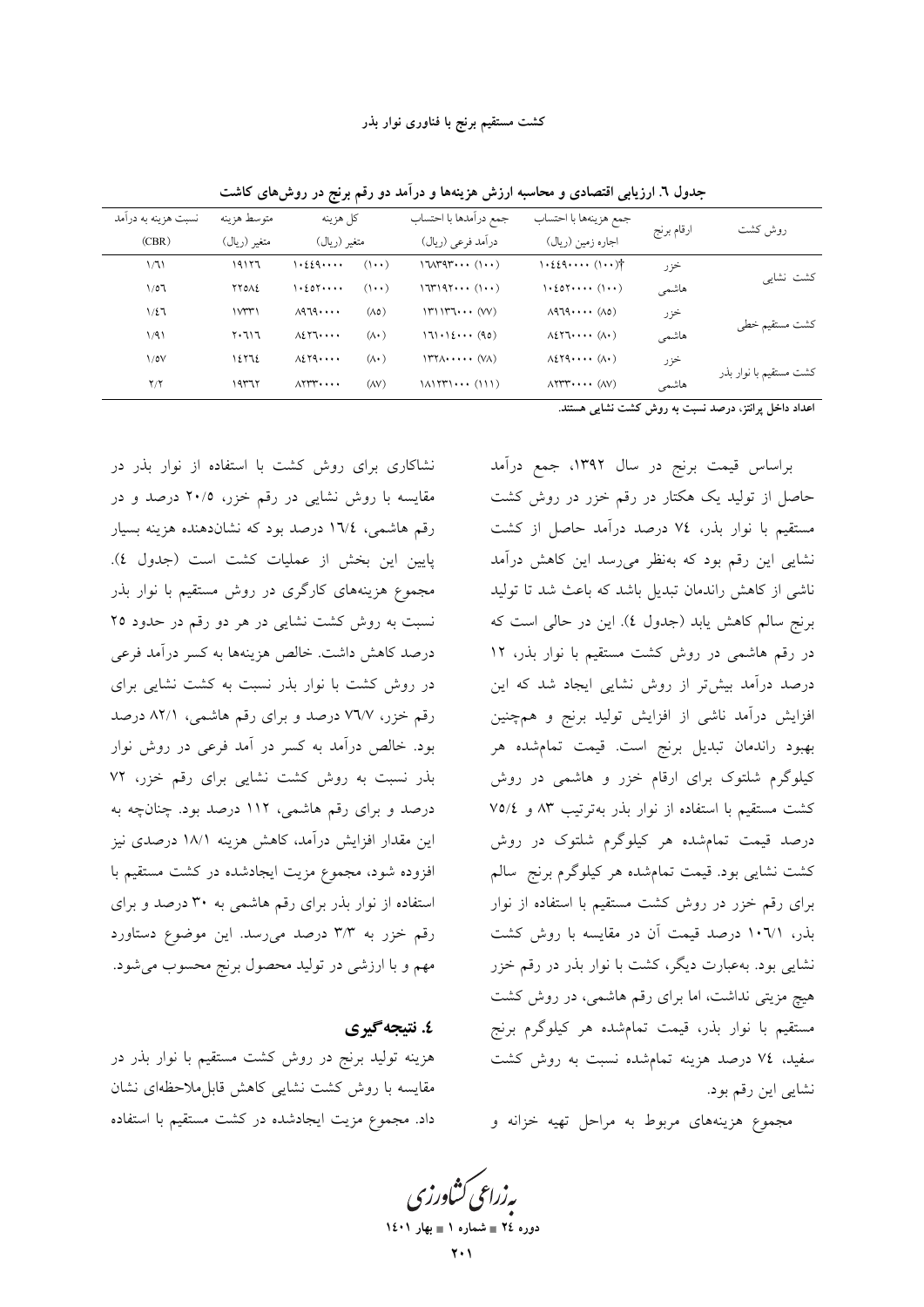| روش كشت                                             | ارقام برنج | جمع هزينهها با احتساب                                                         | جمع درآمدها با احتساب                               |                   | كل هزينه                                            | متوسط هزينه    | نسبت هزینه به درآمد |
|-----------------------------------------------------|------------|-------------------------------------------------------------------------------|-----------------------------------------------------|-------------------|-----------------------------------------------------|----------------|---------------------|
|                                                     |            | اجاره زمين (ريال)                                                             | درآمد فرعي (ريال)                                   |                   | متغير (ريال)                                        | متغير (ريال)   | (CBR)               |
| کشت نشایی                                           | خزر        | $1.229$ $(1.1)$                                                               | $17\Lambda$ rgr $(1 \cdot \cdot)$                   | $(1 \cdot \cdot)$ | $\cdot$ { $\cdot$ { $\cdot$ $\cdot$ $\cdot$ $\cdot$ | ۱۹۱۲٦          | 1/71                |
|                                                     | هاشمى      |                                                                               | $17197$ $(1 \cdot \cdot)$                           | $(1 \cdot \cdot)$ | $\cdot$ { $\circ$ $\cdot$ $\cdot$ $\cdot$ $\cdot$   | <b>YYOAE</b>   | 1/07                |
|                                                     | خزر        | $\Lambda$ 979 $(\Lambda$ o)                                                   | $ Y $ $ Y$ $\cdots$ $\langle VV \rangle$            | $(\wedge \circ)$  | $\lambda$ 979                                       | 1 <sup>w</sup> | 1/27                |
| كشت مستقيم خطى                                      | هاشمى      |                                                                               | $171 \cdot 12 \cdot \cdot \cdot (90)$               | $(\wedge \cdot)$  | $\Lambda$ <sub>2</sub> $\Upsilon$ <sub>1</sub>      | $Y \cdot 717$  | 1/91                |
| كشت مستقيم با نوار بذر                              | خزر        | $\Lambda$ <sub>2</sub> $\Lambda$ <sup>2</sup> , $\cdots$ $(\Lambda$ $\cdot$ ) | $\Upsilon$                                          | $(\wedge \cdot)$  | $A\S$ Yq                                            | 12772          | $\sqrt{\circ}$      |
|                                                     | هاشمى      | $\Lambda$ YYY $\cdots$ $(\Lambda V)$                                          | $1\Lambda 1$ $\uparrow\uparrow\uparrow\cdots$ (111) | $(\wedge \vee)$   | $\Lambda$                                           | ۱۹۳۶۲          | Y/Y                 |
| المنادا المساحي والمحامل والمتحدث والمتحاول والمتنق |            |                                                                               |                                                     |                   |                                                     |                |                     |

جدول ٦. ارزیابی اقتصادی و محاسبه ارزش هزینهها و درآمد دو رقم برنج در روش۵ای کاشت

اعداد داخل پرانتز، درصد نسبت به روش کشت نشایی هستند.

نشاکاری برای روش کشت با استفاده از نوار بذر در مقایسه با روش نشایی در رقم خزر، ۲۰/۵ درصد و در رقم هاشمی، ۱٦/٤ درصد بود که نشاندهنده هزینه بسیار پایین این بخش از عملیات کشت است (جدول ٤). مجموع هزینههای کارگری در روش مستقیم با نوار بذر نسبت به روش کشت نشایی در هر دو رقم در حدود ۲۵ درصد كاهش داشت. خالص هزينهها به كسر درآمد فرعي در روش کشت با نوار بذر نسبت به کشت نشایی برای رقم خزر، ۷٬۲/۷ درصد و برای رقم هاشمی، ۸۲/۱ درصد بود. خالص درآمد به کسر در آمد فرعی در روش نوار بذر نسبت به روش کشت نشایی برای رقم خزر، ۷۲ درصد و برای رقم هاشمی، ۱۱۲ درصد بود. چنانچه به این مقدار افزایش درآمد، کاهش هزینه ۱۸/۱ درصدی نیز افزوده شود، مجموع مزیت ایجادشده در کشت مستقیم با استفاده از نوار بذر برای رقم هاشمی به ۳۰ درصد و برای رقم خزر به ۳/۳ درصد میرسد. این موضوع دستاورد مهم و با ارزشی در تولید محصول برنج محسوب میشود.

## ٤. نتىجەگىرى

هزینه تولید برنج در روش کشت مستقیم با نوار بذر در مقایسه با روش کشت نشایی کاهش قابل.ملاحظهای نشان داد. مجموع مزیت ایجادشده در کشت مستقیم با استفاده

براساس قیمت برنج در سال ۱۳۹۲، جمع درآمد حاصل از تولید یک هکتار در رقم خزر در روش کشت مستقیم با نوار بذر، ٧٤ درصد درآمد حاصل از کشت نشایی این رقم بود که بهنظر می رسد این کاهش درآمد ناشی از کاهش راندمان تبدیل باشد که باعث شد تا تولید برنج سالم كاهش يابد (جدول ٤). اين در حالي است كه در رقم هاشمی در روش کشت مستقیم با نوار بذر، ١٢ درصد درآمد بیشتر از روش نشایی ایجاد شد که این افزایش درآمد ناشی از افزایش تولید برنج و همچنین بهبود راندمان تبديل برنج است. قيمت تمامشده هر کیلوگرم شلتوک برای ارقام خزر و هاشمی در روش کشت مستقیم با استفاده از نوار بذر بهترتیب ۸۳ و ۷۵/٤ درصد قیمت تمامشده هر کیلوگرم شلتوک در روش کشت نشایی بود. قیمت تمامشده هر کیلوگرم برنج سالم برای رقم خزر در روش کشت مستقیم با استفاده از نوار بذر، ١٠٦/١ درصد قيمت آن در مقايسه با روش كشت نشایی بود. بهعبارت دیگر، کشت با نوار بذر در رقم خزر هیچ مزیتی نداشت، اما برای رقم هاشمی، در روش کشت مستقیم با نوار بذر، قیمت تمامشده هر کیلوگرم برنج سفید، ٧٤ درصد هزینه تمامشده نسبت به روش كشت نشايي اين رقم بود.

مجموع هزینههای مربوط به مراحل تهیه خزانه و

**یه زراعی کشاورز<sup>.</sup>** دوره ٢٤ = شماره ١ = بهار ١٤٠١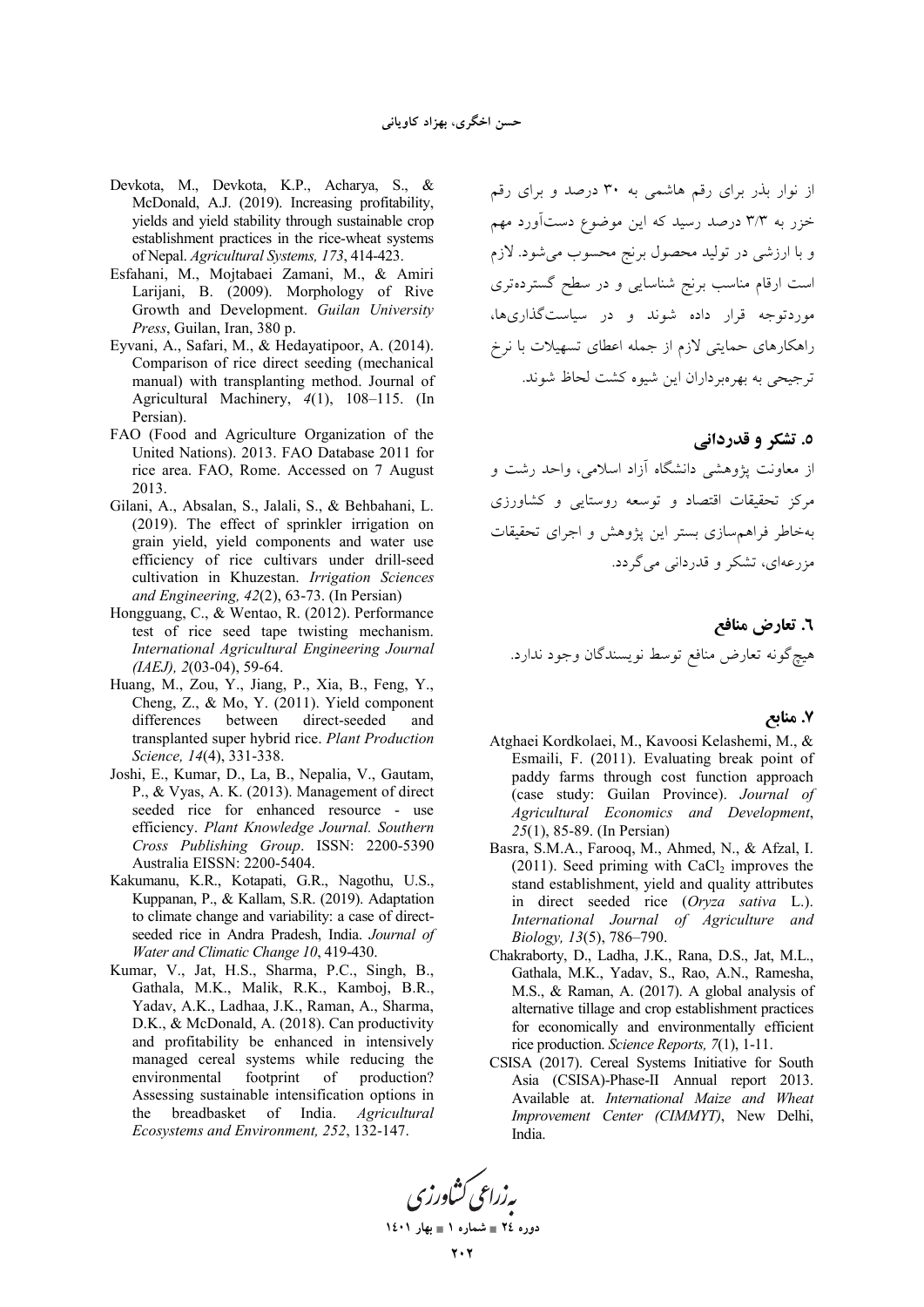- Devkota, M., Devkota, K.P., Acharya, S., & McDonald, A.J. (2019). Increasing profitability, yields and yield stability through sustainable crop establishment practices in the rice-wheat systems of Nepal. Agricultural Systems, 173, 414-423.
- Esfahani, M., Mojtabaei Zamani, M., & Amiri Larijani, B. (2009). Morphology of Rive Growth and Development. Guilan University Press, Guilan, Iran, 380 p.
- Eyvani, A., Safari, M., & Hedayatipoor, A. (2014). Comparison of rice direct seeding (mechanical manual) with transplanting method. Journal of Agricultural Machinery, 4(1), 108-115. (In Persian).
- FAO (Food and Agriculture Organization of the United Nations). 2013. FAO Database 2011 for rice area. FAO, Rome. Accessed on 7 August 2013.
- Gilani, A., Absalan, S., Jalali, S., & Behbahani, L. (2019). The effect of sprinkler irrigation on grain yield, yield components and water use efficiency of rice cultivars under drill-seed cultivation in Khuzestan. Irrigation Sciences and Engineering,  $42(2)$ , 63-73. (In Persian)
- Hongguang, C., & Wentao, R. (2012). Performance test of rice seed tape twisting mechanism. International Agricultural Engineering Journal  $(IAEJ), 2(03-04), 59-64.$
- Huang, M., Zou, Y., Jiang, P., Xia, B., Feng, Y., Cheng, Z., & Mo, Y. (2011). Yield component differences between direct-seeded and transplanted super hybrid rice. Plant Production Science, 14(4), 331-338.
- Joshi, E., Kumar, D., La, B., Nepalia, V., Gautam, P., & Vyas, A. K. (2013). Management of direct seeded rice for enhanced resource - use efficiency. Plant Knowledge Journal. Southern Cross Publishing Group. ISSN: 2200-5390 Australia EISSN: 2200-5404.
- Kakumanu, K.R., Kotapati, G.R., Nagothu, U.S., Kuppanan, P., & Kallam, S.R. (2019). Adaptation to climate change and variability: a case of directseeded rice in Andra Pradesh, India. Journal of Water and Climatic Change 10, 419-430.
- Kumar, V., Jat, H.S., Sharma, P.C., Singh, B., Gathala, M.K., Malik, R.K., Kamboj, B.R., Yadav, A.K., Ladhaa, J.K., Raman, A., Sharma, D.K., & McDonald, A. (2018). Can productivity and profitability be enhanced in intensively managed cereal systems while reducing the environmental footprint of production? Assessing sustainable intensification options in the breadbasket of India. Agricultural Ecosystems and Environment, 252, 132-147.

از نوار بذر برای رقم هاشمی به ۳۰ درصد و برای رقم خزر به ۳/۳ درصد رسید که این موضوع دستآورد مهم و با ارزشی در تولید محصول برنج محسوب میشود. لازم است ارقام مناسب برنج شناسایی و در سطح گستردهتری .<br>موردتوجه قرار داده شوند و در سیاستگذاریها، راهکارهای حمایتی لازم از جمله اعطای تسهیلات با نرخ ترجیحی به بهرهبرداران این شیوه کشت لحاظ شوند.

## ٥. تشکر و قدردانی

از معاونت بژوهشی دانشگاه آزاد اسلامی، واحد رشت و مرکز تحقیقات اقتصاد و توسعه روستایی و کشاورزی بهخاطر فراهم سازى بستر اين يژوهش و اجراى تحقيقات مزرعهای، تشکر و قدردانی می گردد.

٦. تعارض منافع هيچ گونه تعارض منافع توسط نويسندگان وجود ندارد.

#### 7. منابع

- Atghaei Kordkolaei, M., Kavoosi Kelashemi, M., & Esmaili, F. (2011). Evaluating break point of paddy farms through cost function approach (case study: Guilan Province). Journal of Agricultural Economics and Development,  $25(1)$ , 85-89. (In Persian)
- Basra, S.M.A., Farooq, M., Ahmed, N., & Afzal, I.  $(2011)$ . Seed priming with CaCl<sub>2</sub> improves the stand establishment, yield and quality attributes in direct seeded rice (Oryza sativa L.). International Journal of Agriculture and Biology, 13(5), 786-790.
- Chakraborty, D., Ladha, J.K., Rana, D.S., Jat, M.L., Gathala, M.K., Yadav, S., Rao, A.N., Ramesha, M.S., & Raman, A. (2017). A global analysis of alternative tillage and crop establishment practices for economically and environmentally efficient rice production. Science Reports, 7(1), 1-11.
- CSISA (2017). Cereal Systems Initiative for South Asia (CSISA)-Phase-II Annual report 2013. Available at. International Maize and Wheat Improvement Center (CIMMYT), New Delhi, India.